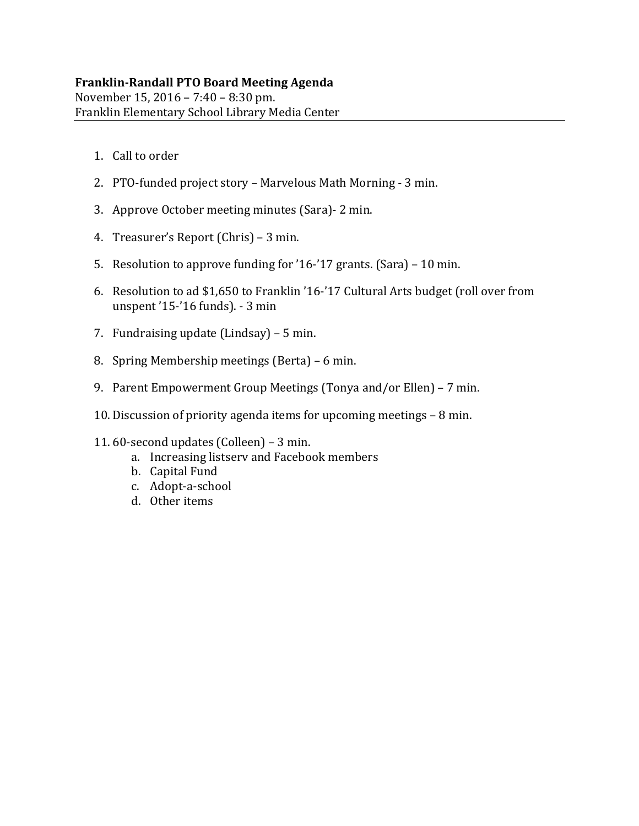# **Franklin‐Randall PTO Board Meeting Agenda**

November 15, 2016 - 7:40 - 8:30 pm. Franklin Elementary School Library Media Center

- 1. Call to order
- 2. PTO-funded project story Marvelous Math Morning 3 min.
- 3. Approve October meeting minutes (Sara) 2 min.
- 4. Treasurer's Report (Chris) 3 min.
- 5. Resolution to approve funding for '16-'17 grants.  $(Sara) 10$  min.
- 6. Resolution to ad \$1,650 to Franklin '16-'17 Cultural Arts budget (roll over from unspent '15-'16 funds). - 3 min
- 7. Fundraising update  $(Lindsay) 5$  min.
- 8. Spring Membership meetings (Berta) 6 min.
- 9. Parent Empowerment Group Meetings (Tonya and/or Ellen) 7 min.
- 10. Discussion of priority agenda items for upcoming meetings 8 min.
- 11.  $60$ -second updates (Colleen) 3 min.
	- a. Increasing listserv and Facebook members
	- b. Capital Fund
	- c. Adopt‐a‐school
	- d. Other items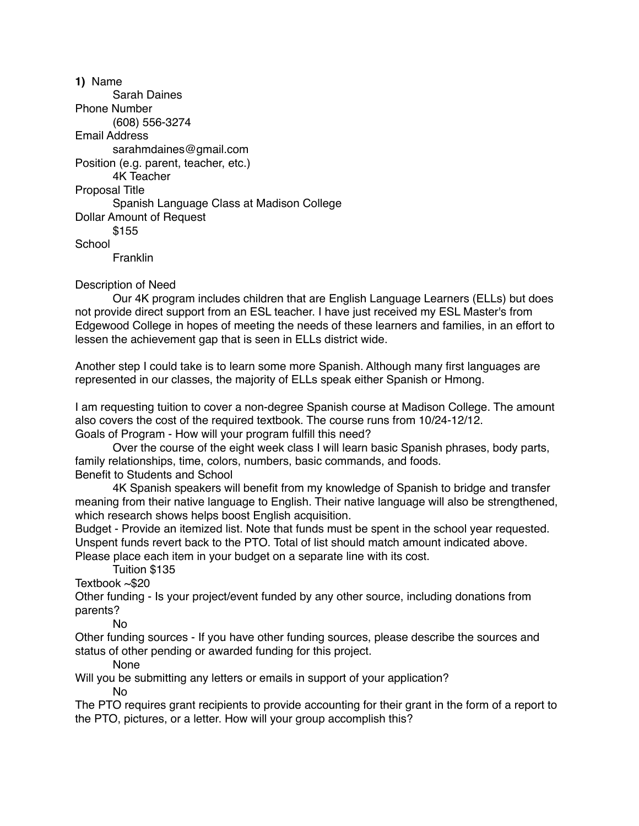**1)** Name Sarah Daines Phone Number (608) 556-3274 Email Address sarahmdaines@gmail.com Position (e.g. parent, teacher, etc.) 4K Teacher Proposal Title Spanish Language Class at Madison College Dollar Amount of Request \$155 **School Franklin** 

Description of Need

 Our 4K program includes children that are English Language Learners (ELLs) but does not provide direct support from an ESL teacher. I have just received my ESL Master's from Edgewood College in hopes of meeting the needs of these learners and families, in an effort to lessen the achievement gap that is seen in ELLs district wide.

Another step I could take is to learn some more Spanish. Although many first languages are represented in our classes, the majority of ELLs speak either Spanish or Hmong.

I am requesting tuition to cover a non-degree Spanish course at Madison College. The amount also covers the cost of the required textbook. The course runs from 10/24-12/12. Goals of Program - How will your program fulfill this need?

 Over the course of the eight week class I will learn basic Spanish phrases, body parts, family relationships, time, colors, numbers, basic commands, and foods. Benefit to Students and School

 4K Spanish speakers will benefit from my knowledge of Spanish to bridge and transfer meaning from their native language to English. Their native language will also be strengthened, which research shows helps boost English acquisition.

Budget - Provide an itemized list. Note that funds must be spent in the school year requested. Unspent funds revert back to the PTO. Total of list should match amount indicated above.

Please place each item in your budget on a separate line with its cost.

Tuition \$135

Textbook ~\$20

Other funding - Is your project/event funded by any other source, including donations from parents?

No

Other funding sources - If you have other funding sources, please describe the sources and status of other pending or awarded funding for this project.

None

Will you be submitting any letters or emails in support of your application?

No

The PTO requires grant recipients to provide accounting for their grant in the form of a report to the PTO, pictures, or a letter. How will your group accomplish this?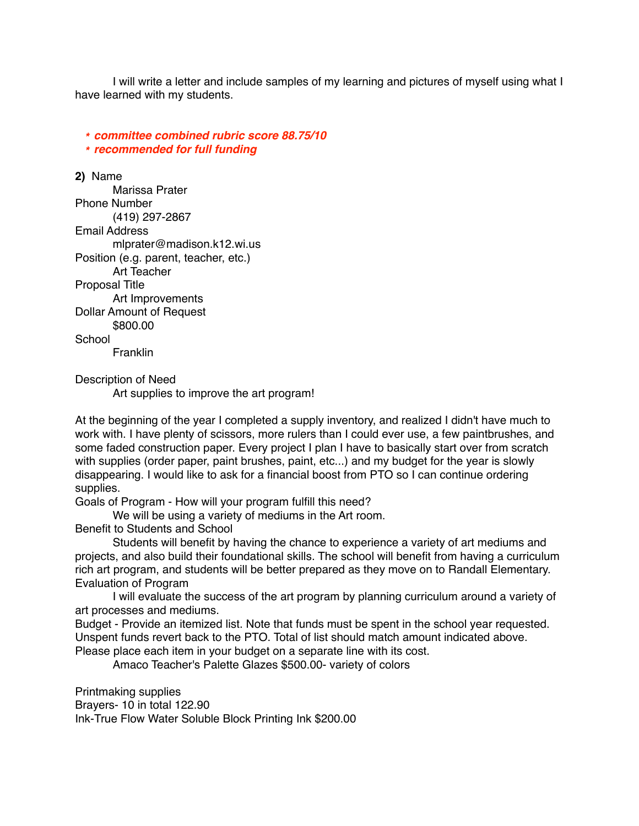I will write a letter and include samples of my learning and pictures of myself using what I have learned with my students.

*\* committee combined rubric score 88.75/10 \* recommended for full funding*

**2)** Name Marissa Prater Phone Number (419) 297-2867 Email Address mlprater@madison.k12.wi.us Position (e.g. parent, teacher, etc.) Art Teacher Proposal Title Art Improvements Dollar Amount of Request \$800.00 **School Franklin** 

Description of Need

Art supplies to improve the art program!

At the beginning of the year I completed a supply inventory, and realized I didn't have much to work with. I have plenty of scissors, more rulers than I could ever use, a few paintbrushes, and some faded construction paper. Every project I plan I have to basically start over from scratch with supplies (order paper, paint brushes, paint, etc...) and my budget for the year is slowly disappearing. I would like to ask for a financial boost from PTO so I can continue ordering supplies.

Goals of Program - How will your program fulfill this need?

We will be using a variety of mediums in the Art room.

Benefit to Students and School

 Students will benefit by having the chance to experience a variety of art mediums and projects, and also build their foundational skills. The school will benefit from having a curriculum rich art program, and students will be better prepared as they move on to Randall Elementary. Evaluation of Program

 I will evaluate the success of the art program by planning curriculum around a variety of art processes and mediums.

Budget - Provide an itemized list. Note that funds must be spent in the school year requested. Unspent funds revert back to the PTO. Total of list should match amount indicated above. Please place each item in your budget on a separate line with its cost.

Amaco Teacher's Palette Glazes \$500.00- variety of colors

Printmaking supplies Brayers- 10 in total 122.90 Ink-True Flow Water Soluble Block Printing Ink \$200.00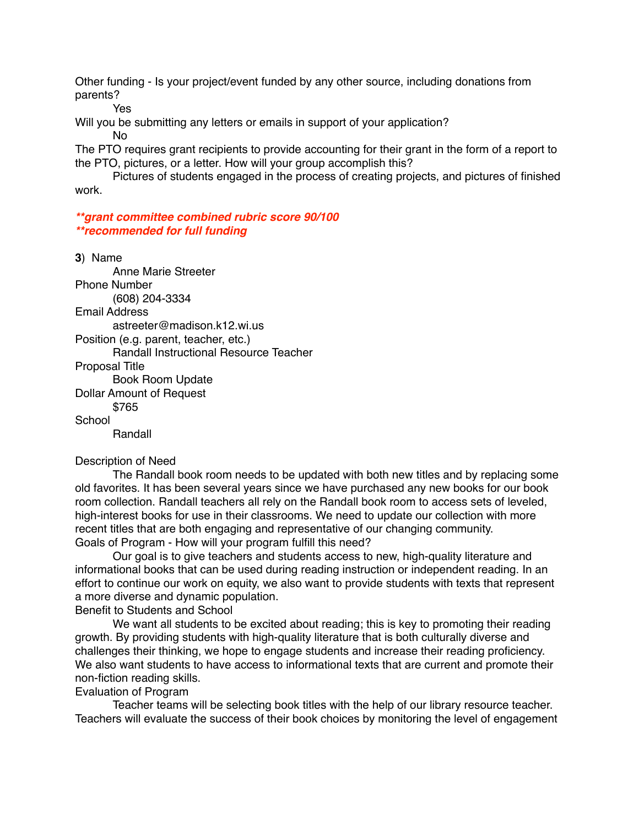Other funding - Is your project/event funded by any other source, including donations from parents?

Yes

Will you be submitting any letters or emails in support of your application? No

The PTO requires grant recipients to provide accounting for their grant in the form of a report to the PTO, pictures, or a letter. How will your group accomplish this?

 Pictures of students engaged in the process of creating projects, and pictures of finished work.

*\*\*grant committee combined rubric score 90/100 \*\*recommended for full funding*

**3**) Name Anne Marie Streeter Phone Number (608) 204-3334 Email Address astreeter@madison.k12.wi.us Position (e.g. parent, teacher, etc.) Randall Instructional Resource Teacher Proposal Title Book Room Update Dollar Amount of Request

\$765

**School** 

Randall

Description of Need

 The Randall book room needs to be updated with both new titles and by replacing some old favorites. It has been several years since we have purchased any new books for our book room collection. Randall teachers all rely on the Randall book room to access sets of leveled, high-interest books for use in their classrooms. We need to update our collection with more recent titles that are both engaging and representative of our changing community. Goals of Program - How will your program fulfill this need?

 Our goal is to give teachers and students access to new, high-quality literature and informational books that can be used during reading instruction or independent reading. In an effort to continue our work on equity, we also want to provide students with texts that represent a more diverse and dynamic population.

Benefit to Students and School

We want all students to be excited about reading; this is key to promoting their reading growth. By providing students with high-quality literature that is both culturally diverse and challenges their thinking, we hope to engage students and increase their reading proficiency. We also want students to have access to informational texts that are current and promote their non-fiction reading skills.

#### Evaluation of Program

 Teacher teams will be selecting book titles with the help of our library resource teacher. Teachers will evaluate the success of their book choices by monitoring the level of engagement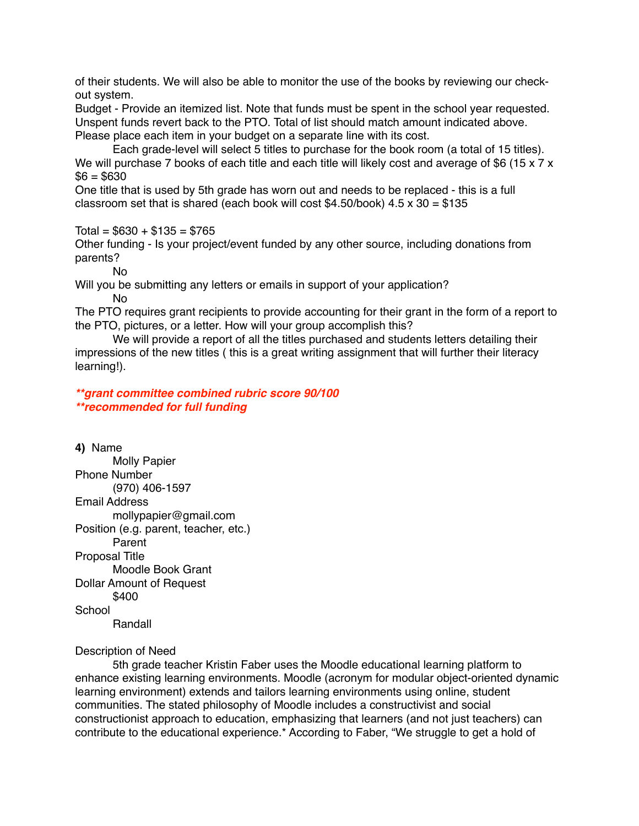of their students. We will also be able to monitor the use of the books by reviewing our checkout system.

Budget - Provide an itemized list. Note that funds must be spent in the school year requested. Unspent funds revert back to the PTO. Total of list should match amount indicated above. Please place each item in your budget on a separate line with its cost.

 Each grade-level will select 5 titles to purchase for the book room (a total of 15 titles). We will purchase 7 books of each title and each title will likely cost and average of \$6 (15 x 7 x  $$6 = $630$ 

One title that is used by 5th grade has worn out and needs to be replaced - this is a full classroom set that is shared (each book will cost \$4.50/book)  $4.5 \times 30 = $135$ 

 $Total = $630 + $135 = $765$ 

Other funding - Is your project/event funded by any other source, including donations from parents?

No

Will you be submitting any letters or emails in support of your application?

No

The PTO requires grant recipients to provide accounting for their grant in the form of a report to the PTO, pictures, or a letter. How will your group accomplish this?

 We will provide a report of all the titles purchased and students letters detailing their impressions of the new titles ( this is a great writing assignment that will further their literacy learning!).

*\*\*grant committee combined rubric score 90/100 \*\*recommended for full funding*

**4)** Name Molly Papier Phone Number (970) 406-1597 Email Address mollypapier@gmail.com Position (e.g. parent, teacher, etc.) Parent Proposal Title Moodle Book Grant Dollar Amount of Request \$400 **School** Randall

## Description of Need

 5th grade teacher Kristin Faber uses the Moodle educational learning platform to enhance existing learning environments. Moodle (acronym for modular object-oriented dynamic learning environment) extends and tailors learning environments using online, student communities. The stated philosophy of Moodle includes a constructivist and social constructionist approach to education, emphasizing that learners (and not just teachers) can contribute to the educational experience.\* According to Faber, "We struggle to get a hold of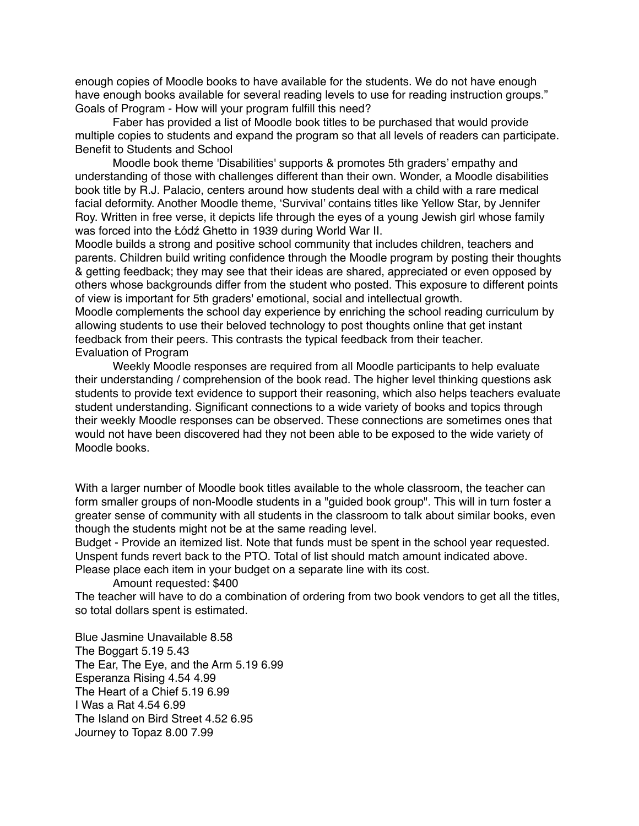enough copies of Moodle books to have available for the students. We do not have enough have enough books available for several reading levels to use for reading instruction groups." Goals of Program - How will your program fulfill this need?

 Faber has provided a list of Moodle book titles to be purchased that would provide multiple copies to students and expand the program so that all levels of readers can participate. Benefit to Students and School

 Moodle book theme 'Disabilities' supports & promotes 5th graders' empathy and understanding of those with challenges different than their own. Wonder, a Moodle disabilities book title by R.J. Palacio, centers around how students deal with a child with a rare medical facial deformity. Another Moodle theme, 'Survival' contains titles like Yellow Star, by Jennifer Roy. Written in free verse, it depicts life through the eyes of a young Jewish girl whose family was forced into the Łódź Ghetto in 1939 during World War II.

Moodle builds a strong and positive school community that includes children, teachers and parents. Children build writing confidence through the Moodle program by posting their thoughts & getting feedback; they may see that their ideas are shared, appreciated or even opposed by others whose backgrounds differ from the student who posted. This exposure to different points of view is important for 5th graders' emotional, social and intellectual growth.

Moodle complements the school day experience by enriching the school reading curriculum by allowing students to use their beloved technology to post thoughts online that get instant feedback from their peers. This contrasts the typical feedback from their teacher. Evaluation of Program

 Weekly Moodle responses are required from all Moodle participants to help evaluate their understanding / comprehension of the book read. The higher level thinking questions ask students to provide text evidence to support their reasoning, which also helps teachers evaluate student understanding. Significant connections to a wide variety of books and topics through their weekly Moodle responses can be observed. These connections are sometimes ones that would not have been discovered had they not been able to be exposed to the wide variety of Moodle books.

With a larger number of Moodle book titles available to the whole classroom, the teacher can form smaller groups of non-Moodle students in a "guided book group". This will in turn foster a greater sense of community with all students in the classroom to talk about similar books, even though the students might not be at the same reading level.

Budget - Provide an itemized list. Note that funds must be spent in the school year requested. Unspent funds revert back to the PTO. Total of list should match amount indicated above. Please place each item in your budget on a separate line with its cost.

Amount requested: \$400

The teacher will have to do a combination of ordering from two book vendors to get all the titles, so total dollars spent is estimated.

Blue Jasmine Unavailable 8.58 The Boggart 5.19 5.43 The Ear, The Eye, and the Arm 5.19 6.99 Esperanza Rising 4.54 4.99 The Heart of a Chief 5.19 6.99 I Was a Rat 4.54 6.99 The Island on Bird Street 4.52 6.95 Journey to Topaz 8.00 7.99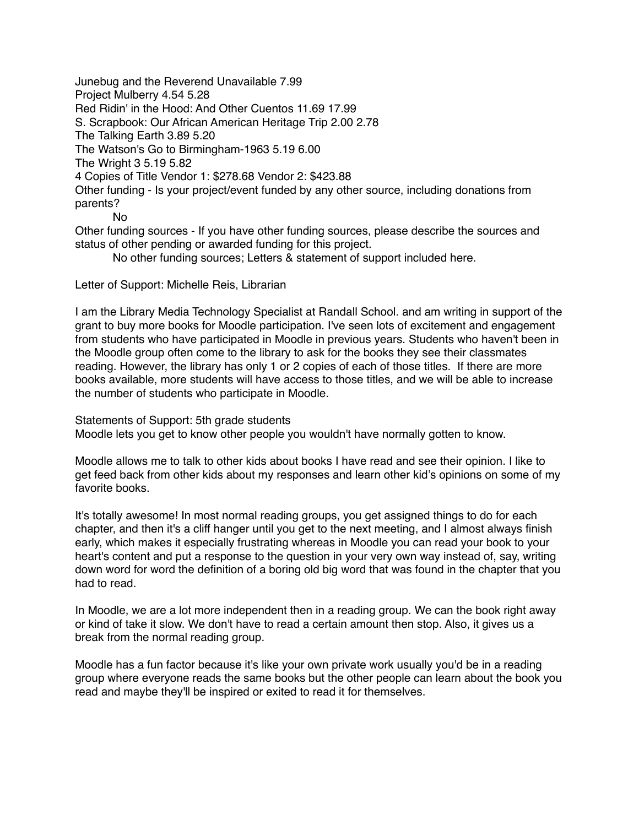Junebug and the Reverend Unavailable 7.99 Project Mulberry 4.54 5.28 Red Ridin' in the Hood: And Other Cuentos 11.69 17.99 S. Scrapbook: Our African American Heritage Trip 2.00 2.78 The Talking Earth 3.89 5.20 The Watson's Go to Birmingham-1963 5.19 6.00 The Wright 3 5.19 5.82 4 Copies of Title Vendor 1: \$278.68 Vendor 2: \$423.88 Other funding - Is your project/event funded by any other source, including donations from parents? No

Other funding sources - If you have other funding sources, please describe the sources and status of other pending or awarded funding for this project.

No other funding sources; Letters & statement of support included here.

Letter of Support: Michelle Reis, Librarian

I am the Library Media Technology Specialist at Randall School. and am writing in support of the grant to buy more books for Moodle participation. I've seen lots of excitement and engagement from students who have participated in Moodle in previous years. Students who haven't been in the Moodle group often come to the library to ask for the books they see their classmates reading. However, the library has only 1 or 2 copies of each of those titles. If there are more books available, more students will have access to those titles, and we will be able to increase the number of students who participate in Moodle.

Statements of Support: 5th grade students Moodle lets you get to know other people you wouldn't have normally gotten to know.

Moodle allows me to talk to other kids about books I have read and see their opinion. I like to get feed back from other kids about my responses and learn other kid's opinions on some of my favorite books.

It's totally awesome! In most normal reading groups, you get assigned things to do for each chapter, and then it's a cliff hanger until you get to the next meeting, and I almost always finish early, which makes it especially frustrating whereas in Moodle you can read your book to your heart's content and put a response to the question in your very own way instead of, say, writing down word for word the definition of a boring old big word that was found in the chapter that you had to read.

In Moodle, we are a lot more independent then in a reading group. We can the book right away or kind of take it slow. We don't have to read a certain amount then stop. Also, it gives us a break from the normal reading group.

Moodle has a fun factor because it's like your own private work usually you'd be in a reading group where everyone reads the same books but the other people can learn about the book you read and maybe they'll be inspired or exited to read it for themselves.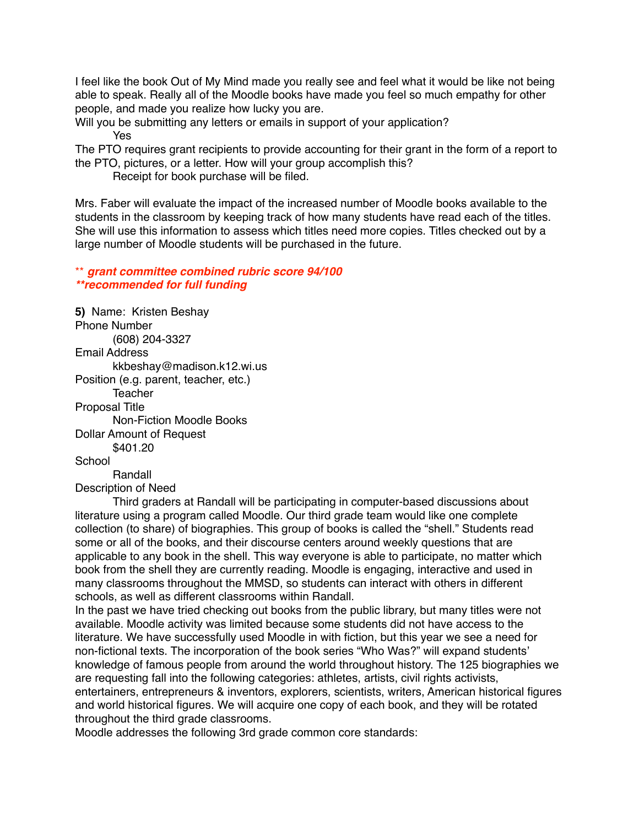I feel like the book Out of My Mind made you really see and feel what it would be like not being able to speak. Really all of the Moodle books have made you feel so much empathy for other people, and made you realize how lucky you are.

Will you be submitting any letters or emails in support of your application? Yes

The PTO requires grant recipients to provide accounting for their grant in the form of a report to the PTO, pictures, or a letter. How will your group accomplish this?

Receipt for book purchase will be filed.

Mrs. Faber will evaluate the impact of the increased number of Moodle books available to the students in the classroom by keeping track of how many students have read each of the titles. She will use this information to assess which titles need more copies. Titles checked out by a large number of Moodle students will be purchased in the future.

\*\* *grant committee combined rubric score 94/100 \*\*recommended for full funding*

**5)** Name: Kristen Beshay Phone Number (608) 204-3327 Email Address kkbeshay@madison.k12.wi.us Position (e.g. parent, teacher, etc.) **Teacher** Proposal Title Non-Fiction Moodle Books Dollar Amount of Request \$401.20 **School**  Randall Description of Need

 Third graders at Randall will be participating in computer-based discussions about literature using a program called Moodle. Our third grade team would like one complete collection (to share) of biographies. This group of books is called the "shell." Students read some or all of the books, and their discourse centers around weekly questions that are applicable to any book in the shell. This way everyone is able to participate, no matter which book from the shell they are currently reading. Moodle is engaging, interactive and used in many classrooms throughout the MMSD, so students can interact with others in different schools, as well as different classrooms within Randall.

In the past we have tried checking out books from the public library, but many titles were not available. Moodle activity was limited because some students did not have access to the literature. We have successfully used Moodle in with fiction, but this year we see a need for non-fictional texts. The incorporation of the book series "Who Was?" will expand students' knowledge of famous people from around the world throughout history. The 125 biographies we are requesting fall into the following categories: athletes, artists, civil rights activists, entertainers, entrepreneurs & inventors, explorers, scientists, writers, American historical figures and world historical figures. We will acquire one copy of each book, and they will be rotated throughout the third grade classrooms.

Moodle addresses the following 3rd grade common core standards: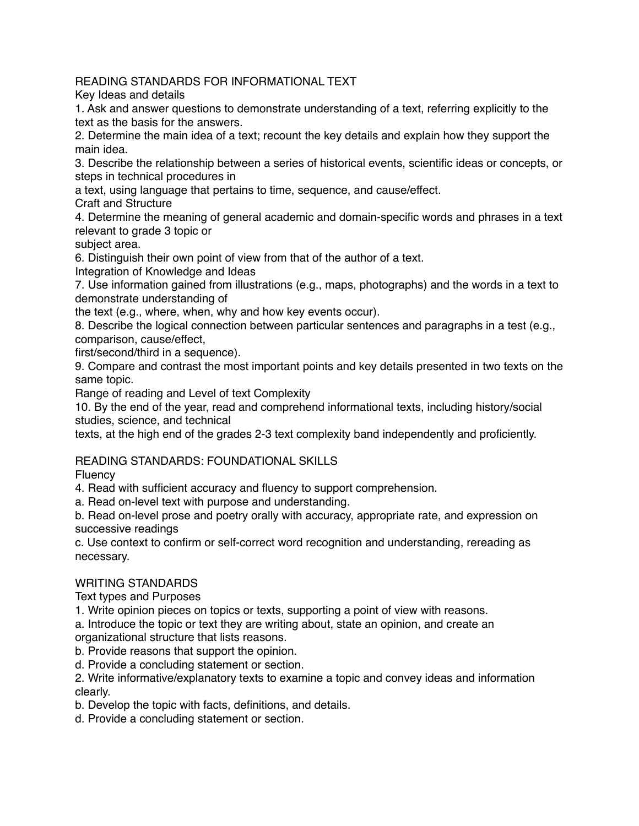READING STANDARDS FOR INFORMATIONAL TEXT

Key Ideas and details

1. Ask and answer questions to demonstrate understanding of a text, referring explicitly to the text as the basis for the answers.

2. Determine the main idea of a text; recount the key details and explain how they support the main idea.

3. Describe the relationship between a series of historical events, scientific ideas or concepts, or steps in technical procedures in

a text, using language that pertains to time, sequence, and cause/effect.

Craft and Structure

4. Determine the meaning of general academic and domain-specific words and phrases in a text relevant to grade 3 topic or

subject area.

6. Distinguish their own point of view from that of the author of a text.

Integration of Knowledge and Ideas

7. Use information gained from illustrations (e.g., maps, photographs) and the words in a text to demonstrate understanding of

the text (e.g., where, when, why and how key events occur).

8. Describe the logical connection between particular sentences and paragraphs in a test (e.g., comparison, cause/effect,

first/second/third in a sequence).

9. Compare and contrast the most important points and key details presented in two texts on the same topic.

Range of reading and Level of text Complexity

10. By the end of the year, read and comprehend informational texts, including history/social studies, science, and technical

texts, at the high end of the grades 2-3 text complexity band independently and proficiently.

## READING STANDARDS: FOUNDATIONAL SKILLS

**Fluency** 

4. Read with sufficient accuracy and fluency to support comprehension.

a. Read on-level text with purpose and understanding.

b. Read on-level prose and poetry orally with accuracy, appropriate rate, and expression on successive readings

c. Use context to confirm or self-correct word recognition and understanding, rereading as necessary.

## WRITING STANDARDS

Text types and Purposes

1. Write opinion pieces on topics or texts, supporting a point of view with reasons.

a. Introduce the topic or text they are writing about, state an opinion, and create an organizational structure that lists reasons.

b. Provide reasons that support the opinion.

d. Provide a concluding statement or section.

2. Write informative/explanatory texts to examine a topic and convey ideas and information clearly.

b. Develop the topic with facts, definitions, and details.

d. Provide a concluding statement or section.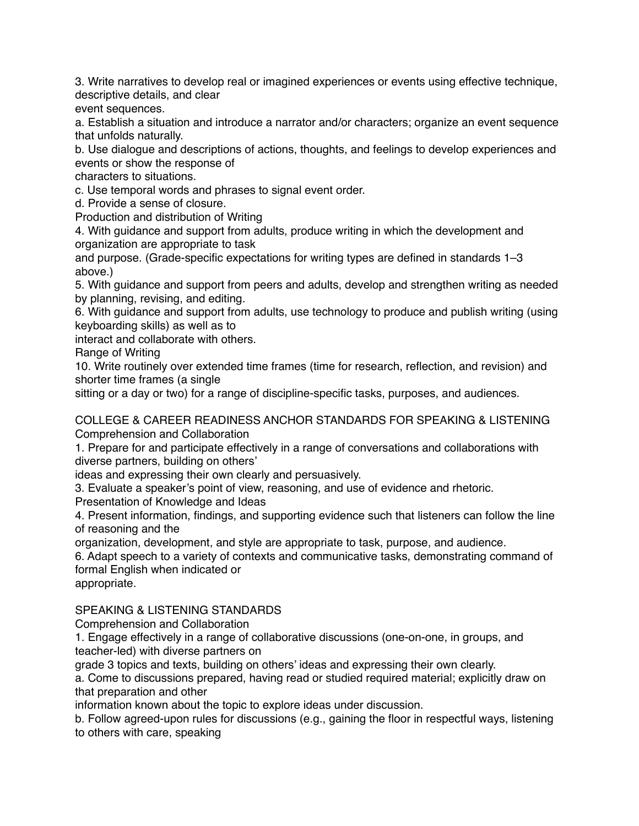3. Write narratives to develop real or imagined experiences or events using effective technique, descriptive details, and clear

event sequences.

a. Establish a situation and introduce a narrator and/or characters; organize an event sequence that unfolds naturally.

b. Use dialogue and descriptions of actions, thoughts, and feelings to develop experiences and events or show the response of

characters to situations.

c. Use temporal words and phrases to signal event order.

d. Provide a sense of closure.

Production and distribution of Writing

4. With guidance and support from adults, produce writing in which the development and organization are appropriate to task

and purpose. (Grade-specific expectations for writing types are defined in standards 1–3 above.)

5. With guidance and support from peers and adults, develop and strengthen writing as needed by planning, revising, and editing.

6. With guidance and support from adults, use technology to produce and publish writing (using keyboarding skills) as well as to

interact and collaborate with others.

Range of Writing

10. Write routinely over extended time frames (time for research, reflection, and revision) and shorter time frames (a single

sitting or a day or two) for a range of discipline-specific tasks, purposes, and audiences.

COLLEGE & CAREER READINESS ANCHOR STANDARDS FOR SPEAKING & LISTENING Comprehension and Collaboration

1. Prepare for and participate effectively in a range of conversations and collaborations with diverse partners, building on others'

ideas and expressing their own clearly and persuasively.

3. Evaluate a speaker's point of view, reasoning, and use of evidence and rhetoric.

Presentation of Knowledge and Ideas

4. Present information, findings, and supporting evidence such that listeners can follow the line of reasoning and the

organization, development, and style are appropriate to task, purpose, and audience.

6. Adapt speech to a variety of contexts and communicative tasks, demonstrating command of formal English when indicated or

appropriate.

SPEAKING & LISTENING STANDARDS

Comprehension and Collaboration

1. Engage effectively in a range of collaborative discussions (one-on-one, in groups, and teacher-led) with diverse partners on

grade 3 topics and texts, building on others' ideas and expressing their own clearly.

a. Come to discussions prepared, having read or studied required material; explicitly draw on that preparation and other

information known about the topic to explore ideas under discussion.

b. Follow agreed-upon rules for discussions (e.g., gaining the floor in respectful ways, listening to others with care, speaking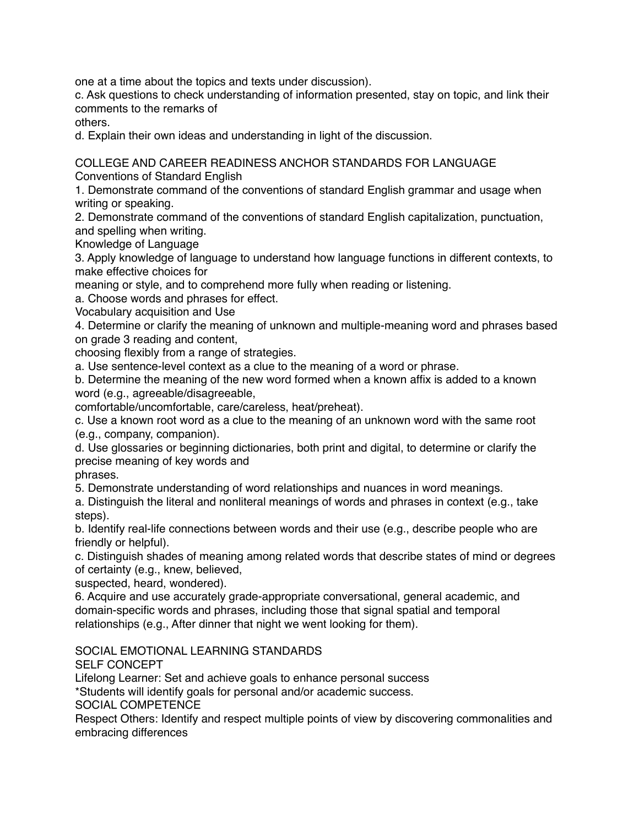one at a time about the topics and texts under discussion).

c. Ask questions to check understanding of information presented, stay on topic, and link their comments to the remarks of

others.

d. Explain their own ideas and understanding in light of the discussion.

COLLEGE AND CAREER READINESS ANCHOR STANDARDS FOR LANGUAGE

Conventions of Standard English

1. Demonstrate command of the conventions of standard English grammar and usage when writing or speaking.

2. Demonstrate command of the conventions of standard English capitalization, punctuation, and spelling when writing.

Knowledge of Language

3. Apply knowledge of language to understand how language functions in different contexts, to make effective choices for

meaning or style, and to comprehend more fully when reading or listening.

a. Choose words and phrases for effect.

Vocabulary acquisition and Use

4. Determine or clarify the meaning of unknown and multiple-meaning word and phrases based on grade 3 reading and content,

choosing flexibly from a range of strategies.

a. Use sentence-level context as a clue to the meaning of a word or phrase.

b. Determine the meaning of the new word formed when a known affix is added to a known word (e.g., agreeable/disagreeable,

comfortable/uncomfortable, care/careless, heat/preheat).

c. Use a known root word as a clue to the meaning of an unknown word with the same root (e.g., company, companion).

d. Use glossaries or beginning dictionaries, both print and digital, to determine or clarify the precise meaning of key words and

phrases.

5. Demonstrate understanding of word relationships and nuances in word meanings.

a. Distinguish the literal and nonliteral meanings of words and phrases in context (e.g., take steps).

b. Identify real-life connections between words and their use (e.g., describe people who are friendly or helpful).

c. Distinguish shades of meaning among related words that describe states of mind or degrees of certainty (e.g., knew, believed,

suspected, heard, wondered).

6. Acquire and use accurately grade-appropriate conversational, general academic, and domain-specific words and phrases, including those that signal spatial and temporal relationships (e.g., After dinner that night we went looking for them).

SOCIAL EMOTIONAL LEARNING STANDARDS

SELF CONCEPT

Lifelong Learner: Set and achieve goals to enhance personal success

\*Students will identify goals for personal and/or academic success.

SOCIAL COMPETENCE

Respect Others: Identify and respect multiple points of view by discovering commonalities and embracing differences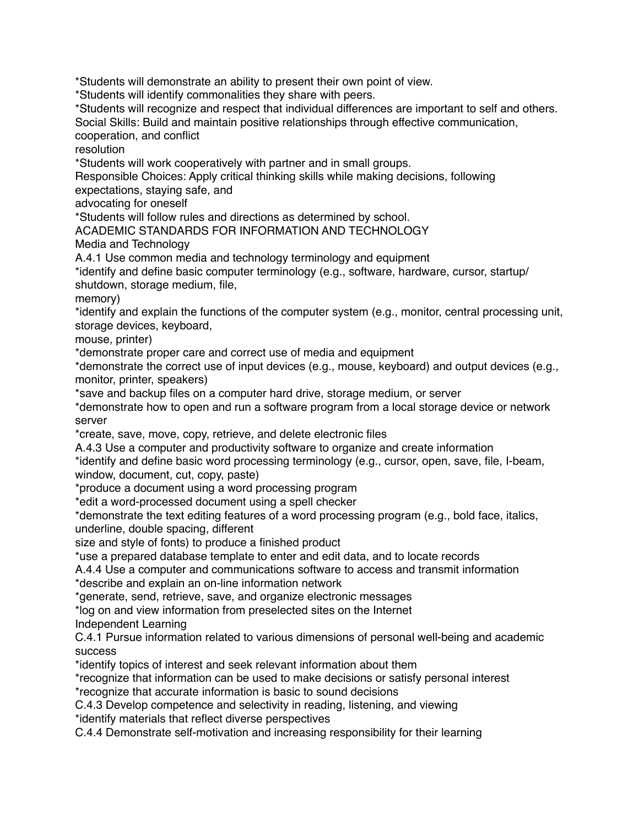\*Students will demonstrate an ability to present their own point of view.

\*Students will identify commonalities they share with peers.

\*Students will recognize and respect that individual differences are important to self and others. Social Skills: Build and maintain positive relationships through effective communication, cooperation, and conflict

resolution

\*Students will work cooperatively with partner and in small groups.

Responsible Choices: Apply critical thinking skills while making decisions, following expectations, staying safe, and

advocating for oneself

\*Students will follow rules and directions as determined by school.

ACADEMIC STANDARDS FOR INFORMATION AND TECHNOLOGY

Media and Technology

A.4.1 Use common media and technology terminology and equipment

\*identify and define basic computer terminology (e.g., software, hardware, cursor, startup/ shutdown, storage medium, file,

memory)

\*identify and explain the functions of the computer system (e.g., monitor, central processing unit, storage devices, keyboard,

mouse, printer)

\*demonstrate proper care and correct use of media and equipment

\*demonstrate the correct use of input devices (e.g., mouse, keyboard) and output devices (e.g., monitor, printer, speakers)

\*save and backup files on a computer hard drive, storage medium, or server

\*demonstrate how to open and run a software program from a local storage device or network server

\*create, save, move, copy, retrieve, and delete electronic files

A.4.3 Use a computer and productivity software to organize and create information

\*identify and define basic word processing terminology (e.g., cursor, open, save, file, I-beam, window, document, cut, copy, paste)

\*produce a document using a word processing program

\*edit a word-processed document using a spell checker

\*demonstrate the text editing features of a word processing program (e.g., bold face, italics, underline, double spacing, different

size and style of fonts) to produce a finished product

\*use a prepared database template to enter and edit data, and to locate records

A.4.4 Use a computer and communications software to access and transmit information

\*describe and explain an on-line information network

\*generate, send, retrieve, save, and organize electronic messages

\*log on and view information from preselected sites on the Internet

Independent Learning

C.4.1 Pursue information related to various dimensions of personal well-being and academic **success** 

\*identify topics of interest and seek relevant information about them

\*recognize that information can be used to make decisions or satisfy personal interest \*recognize that accurate information is basic to sound decisions

C.4.3 Develop competence and selectivity in reading, listening, and viewing

\*identify materials that reflect diverse perspectives

C.4.4 Demonstrate self-motivation and increasing responsibility for their learning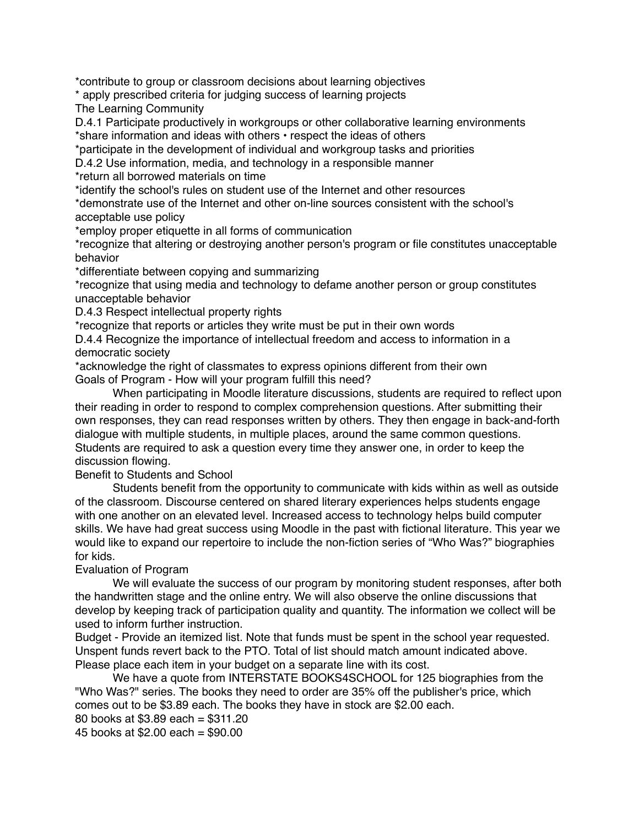\*contribute to group or classroom decisions about learning objectives

\* apply prescribed criteria for judging success of learning projects

The Learning Community

D.4.1 Participate productively in workgroups or other collaborative learning environments \*share information and ideas with others • respect the ideas of others

\*participate in the development of individual and workgroup tasks and priorities

D.4.2 Use information, media, and technology in a responsible manner

\*return all borrowed materials on time

\*identify the school's rules on student use of the Internet and other resources

\*demonstrate use of the Internet and other on-line sources consistent with the school's acceptable use policy

\*employ proper etiquette in all forms of communication

\*recognize that altering or destroying another person's program or file constitutes unacceptable behavior

\*differentiate between copying and summarizing

\*recognize that using media and technology to defame another person or group constitutes unacceptable behavior

D.4.3 Respect intellectual property rights

\*recognize that reports or articles they write must be put in their own words

D.4.4 Recognize the importance of intellectual freedom and access to information in a democratic society

\*acknowledge the right of classmates to express opinions different from their own Goals of Program - How will your program fulfill this need?

 When participating in Moodle literature discussions, students are required to reflect upon their reading in order to respond to complex comprehension questions. After submitting their own responses, they can read responses written by others. They then engage in back-and-forth dialogue with multiple students, in multiple places, around the same common questions. Students are required to ask a question every time they answer one, in order to keep the discussion flowing.

Benefit to Students and School

 Students benefit from the opportunity to communicate with kids within as well as outside of the classroom. Discourse centered on shared literary experiences helps students engage with one another on an elevated level. Increased access to technology helps build computer skills. We have had great success using Moodle in the past with fictional literature. This year we would like to expand our repertoire to include the non-fiction series of "Who Was?" biographies for kids.

Evaluation of Program

We will evaluate the success of our program by monitoring student responses, after both the handwritten stage and the online entry. We will also observe the online discussions that develop by keeping track of participation quality and quantity. The information we collect will be used to inform further instruction.

Budget - Provide an itemized list. Note that funds must be spent in the school year requested. Unspent funds revert back to the PTO. Total of list should match amount indicated above. Please place each item in your budget on a separate line with its cost.

 We have a quote from INTERSTATE BOOKS4SCHOOL for 125 biographies from the "Who Was?" series. The books they need to order are 35% off the publisher's price, which comes out to be \$3.89 each. The books they have in stock are \$2.00 each.

80 books at \$3.89 each = \$311.20

45 books at \$2.00 each = \$90.00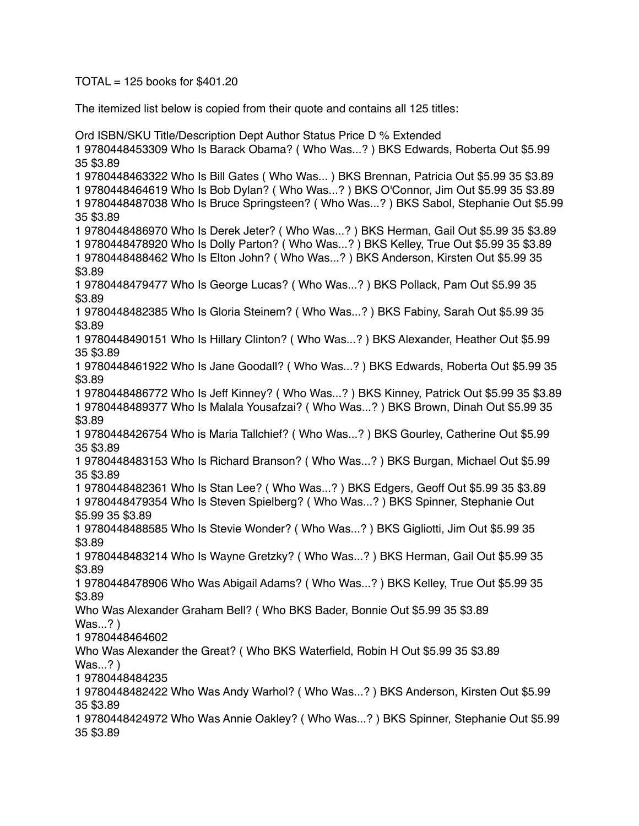$TOTAL = 125$  books for \$401.20

The itemized list below is copied from their quote and contains all 125 titles:

Ord ISBN/SKU Title/Description Dept Author Status Price D % Extended 1 9780448453309 Who Is Barack Obama? ( Who Was...? ) BKS Edwards, Roberta Out \$5.99 35 \$3.89 1 9780448463322 Who Is Bill Gates ( Who Was... ) BKS Brennan, Patricia Out \$5.99 35 \$3.89 1 9780448464619 Who Is Bob Dylan? ( Who Was...? ) BKS O'Connor, Jim Out \$5.99 35 \$3.89 1 9780448487038 Who Is Bruce Springsteen? ( Who Was...? ) BKS Sabol, Stephanie Out \$5.99 35 \$3.89 1 9780448486970 Who Is Derek Jeter? ( Who Was...? ) BKS Herman, Gail Out \$5.99 35 \$3.89 1 9780448478920 Who Is Dolly Parton? ( Who Was...? ) BKS Kelley, True Out \$5.99 35 \$3.89 1 9780448488462 Who Is Elton John? ( Who Was...? ) BKS Anderson, Kirsten Out \$5.99 35 \$3.89 1 9780448479477 Who Is George Lucas? ( Who Was...? ) BKS Pollack, Pam Out \$5.99 35 \$3.89 1 9780448482385 Who Is Gloria Steinem? ( Who Was...? ) BKS Fabiny, Sarah Out \$5.99 35 \$3.89 1 9780448490151 Who Is Hillary Clinton? ( Who Was...? ) BKS Alexander, Heather Out \$5.99 35 \$3.89 1 9780448461922 Who Is Jane Goodall? ( Who Was...? ) BKS Edwards, Roberta Out \$5.99 35 \$3.89 1 9780448486772 Who Is Jeff Kinney? ( Who Was...? ) BKS Kinney, Patrick Out \$5.99 35 \$3.89 1 9780448489377 Who Is Malala Yousafzai? ( Who Was...? ) BKS Brown, Dinah Out \$5.99 35 \$3.89 1 9780448426754 Who is Maria Tallchief? ( Who Was...? ) BKS Gourley, Catherine Out \$5.99 35 \$3.89 1 9780448483153 Who Is Richard Branson? ( Who Was...? ) BKS Burgan, Michael Out \$5.99 35 \$3.89 1 9780448482361 Who Is Stan Lee? ( Who Was...? ) BKS Edgers, Geoff Out \$5.99 35 \$3.89 1 9780448479354 Who Is Steven Spielberg? ( Who Was...? ) BKS Spinner, Stephanie Out \$5.99 35 \$3.89 1 9780448488585 Who Is Stevie Wonder? ( Who Was...? ) BKS Gigliotti, Jim Out \$5.99 35 \$3.89 1 9780448483214 Who Is Wayne Gretzky? ( Who Was...? ) BKS Herman, Gail Out \$5.99 35 \$3.89 1 9780448478906 Who Was Abigail Adams? ( Who Was...? ) BKS Kelley, True Out \$5.99 35 \$3.89 Who Was Alexander Graham Bell? ( Who BKS Bader, Bonnie Out \$5.99 35 \$3.89 Was...? ) 1 9780448464602 Who Was Alexander the Great? ( Who BKS Waterfield, Robin H Out \$5.99 35 \$3.89 Was...? ) 1 9780448484235 1 9780448482422 Who Was Andy Warhol? ( Who Was...? ) BKS Anderson, Kirsten Out \$5.99 35 \$3.89 1 9780448424972 Who Was Annie Oakley? ( Who Was...? ) BKS Spinner, Stephanie Out \$5.99 35 \$3.89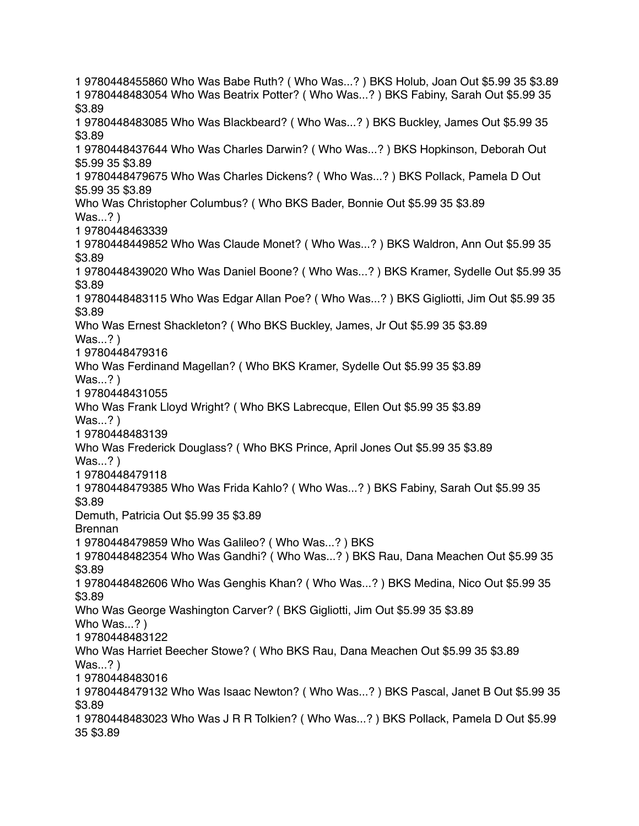1 9780448455860 Who Was Babe Ruth? ( Who Was...? ) BKS Holub, Joan Out \$5.99 35 \$3.89 1 9780448483054 Who Was Beatrix Potter? ( Who Was...? ) BKS Fabiny, Sarah Out \$5.99 35 \$3.89 1 9780448483085 Who Was Blackbeard? ( Who Was...? ) BKS Buckley, James Out \$5.99 35 \$3.89 1 9780448437644 Who Was Charles Darwin? ( Who Was...? ) BKS Hopkinson, Deborah Out \$5.99 35 \$3.89 1 9780448479675 Who Was Charles Dickens? ( Who Was...? ) BKS Pollack, Pamela D Out \$5.99 35 \$3.89 Who Was Christopher Columbus? ( Who BKS Bader, Bonnie Out \$5.99 35 \$3.89 Was...? ) 1 9780448463339 1 9780448449852 Who Was Claude Monet? ( Who Was...? ) BKS Waldron, Ann Out \$5.99 35 \$3.89 1 9780448439020 Who Was Daniel Boone? ( Who Was...? ) BKS Kramer, Sydelle Out \$5.99 35 \$3.89 1 9780448483115 Who Was Edgar Allan Poe? ( Who Was...? ) BKS Gigliotti, Jim Out \$5.99 35 \$3.89 Who Was Ernest Shackleton? ( Who BKS Buckley, James, Jr Out \$5.99 35 \$3.89 Was...? ) 1 9780448479316 Who Was Ferdinand Magellan? ( Who BKS Kramer, Sydelle Out \$5.99 35 \$3.89 Was...? ) 1 9780448431055 Who Was Frank Lloyd Wright? ( Who BKS Labrecque, Ellen Out \$5.99 35 \$3.89 Was...? ) 1 9780448483139 Who Was Frederick Douglass? ( Who BKS Prince, April Jones Out \$5.99 35 \$3.89 Was...? ) 1 9780448479118 1 9780448479385 Who Was Frida Kahlo? ( Who Was...? ) BKS Fabiny, Sarah Out \$5.99 35 \$3.89 Demuth, Patricia Out \$5.99 35 \$3.89 Brennan 1 9780448479859 Who Was Galileo? ( Who Was...? ) BKS 1 9780448482354 Who Was Gandhi? ( Who Was...? ) BKS Rau, Dana Meachen Out \$5.99 35 \$3.89 1 9780448482606 Who Was Genghis Khan? ( Who Was...? ) BKS Medina, Nico Out \$5.99 35 \$3.89 Who Was George Washington Carver? ( BKS Gigliotti, Jim Out \$5.99 35 \$3.89 Who Was...? ) 1 9780448483122 Who Was Harriet Beecher Stowe? ( Who BKS Rau, Dana Meachen Out \$5.99 35 \$3.89 Was...? ) 1 9780448483016 1 9780448479132 Who Was Isaac Newton? ( Who Was...? ) BKS Pascal, Janet B Out \$5.99 35 \$3.89 1 9780448483023 Who Was J R R Tolkien? ( Who Was...? ) BKS Pollack, Pamela D Out \$5.99 35 \$3.89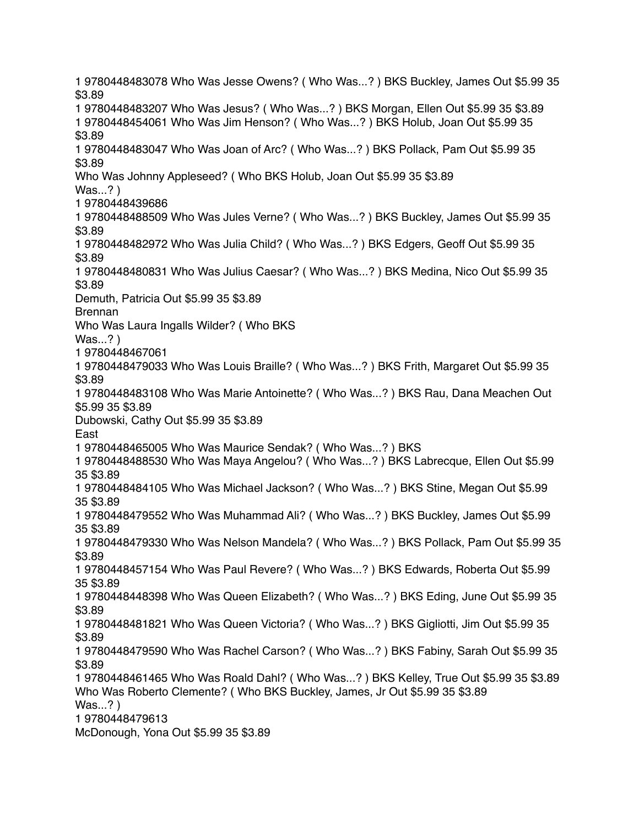1 9780448483078 Who Was Jesse Owens? ( Who Was...? ) BKS Buckley, James Out \$5.99 35 \$3.89 1 9780448483207 Who Was Jesus? ( Who Was...? ) BKS Morgan, Ellen Out \$5.99 35 \$3.89 1 9780448454061 Who Was Jim Henson? ( Who Was...? ) BKS Holub, Joan Out \$5.99 35 \$3.89 1 9780448483047 Who Was Joan of Arc? ( Who Was...? ) BKS Pollack, Pam Out \$5.99 35 \$3.89 Who Was Johnny Appleseed? ( Who BKS Holub, Joan Out \$5.99 35 \$3.89 Was...? ) 1 9780448439686 1 9780448488509 Who Was Jules Verne? ( Who Was...? ) BKS Buckley, James Out \$5.99 35 \$3.89 1 9780448482972 Who Was Julia Child? ( Who Was...? ) BKS Edgers, Geoff Out \$5.99 35 \$3.89 1 9780448480831 Who Was Julius Caesar? ( Who Was...? ) BKS Medina, Nico Out \$5.99 35 \$3.89 Demuth, Patricia Out \$5.99 35 \$3.89 Brennan Who Was Laura Ingalls Wilder? ( Who BKS Was...? ) 1 9780448467061 1 9780448479033 Who Was Louis Braille? ( Who Was...? ) BKS Frith, Margaret Out \$5.99 35 \$3.89 1 9780448483108 Who Was Marie Antoinette? ( Who Was...? ) BKS Rau, Dana Meachen Out \$5.99 35 \$3.89 Dubowski, Cathy Out \$5.99 35 \$3.89 East 1 9780448465005 Who Was Maurice Sendak? ( Who Was...? ) BKS 1 9780448488530 Who Was Maya Angelou? ( Who Was...? ) BKS Labrecque, Ellen Out \$5.99 35 \$3.89 1 9780448484105 Who Was Michael Jackson? ( Who Was...? ) BKS Stine, Megan Out \$5.99 35 \$3.89 1 9780448479552 Who Was Muhammad Ali? ( Who Was...? ) BKS Buckley, James Out \$5.99 35 \$3.89 1 9780448479330 Who Was Nelson Mandela? ( Who Was...? ) BKS Pollack, Pam Out \$5.99 35 \$3.89 1 9780448457154 Who Was Paul Revere? ( Who Was...? ) BKS Edwards, Roberta Out \$5.99 35 \$3.89 1 9780448448398 Who Was Queen Elizabeth? ( Who Was...? ) BKS Eding, June Out \$5.99 35 \$3.89 1 9780448481821 Who Was Queen Victoria? ( Who Was...? ) BKS Gigliotti, Jim Out \$5.99 35 \$3.89 1 9780448479590 Who Was Rachel Carson? ( Who Was...? ) BKS Fabiny, Sarah Out \$5.99 35 \$3.89 1 9780448461465 Who Was Roald Dahl? ( Who Was...? ) BKS Kelley, True Out \$5.99 35 \$3.89 Who Was Roberto Clemente? ( Who BKS Buckley, James, Jr Out \$5.99 35 \$3.89 Was...? ) 1 9780448479613 McDonough, Yona Out \$5.99 35 \$3.89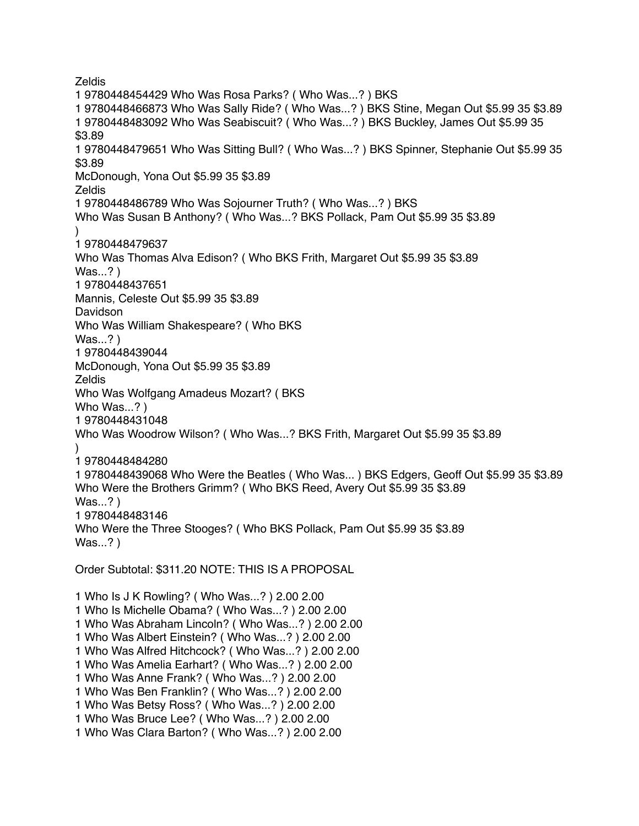**Zeldis** 1 9780448454429 Who Was Rosa Parks? ( Who Was...? ) BKS 1 9780448466873 Who Was Sally Ride? ( Who Was...? ) BKS Stine, Megan Out \$5.99 35 \$3.89 1 9780448483092 Who Was Seabiscuit? ( Who Was...? ) BKS Buckley, James Out \$5.99 35 \$3.89 1 9780448479651 Who Was Sitting Bull? ( Who Was...? ) BKS Spinner, Stephanie Out \$5.99 35 \$3.89 McDonough, Yona Out \$5.99 35 \$3.89 **Zeldis** 1 9780448486789 Who Was Sojourner Truth? ( Who Was...? ) BKS Who Was Susan B Anthony? ( Who Was...? BKS Pollack, Pam Out \$5.99 35 \$3.89 ) 1 9780448479637 Who Was Thomas Alva Edison? ( Who BKS Frith, Margaret Out \$5.99 35 \$3.89 Was...? ) 1 9780448437651 Mannis, Celeste Out \$5.99 35 \$3.89 Davidson Who Was William Shakespeare? ( Who BKS Was...? ) 1 9780448439044 McDonough, Yona Out \$5.99 35 \$3.89 Zeldis Who Was Wolfgang Amadeus Mozart? ( BKS Who Was...? ) 1 9780448431048 Who Was Woodrow Wilson? ( Who Was...? BKS Frith, Margaret Out \$5.99 35 \$3.89  $\lambda$ 1 9780448484280 1 9780448439068 Who Were the Beatles ( Who Was... ) BKS Edgers, Geoff Out \$5.99 35 \$3.89 Who Were the Brothers Grimm? ( Who BKS Reed, Avery Out \$5.99 35 \$3.89 Was...? ) 1 9780448483146 Who Were the Three Stooges? ( Who BKS Pollack, Pam Out \$5.99 35 \$3.89 Was...? ) Order Subtotal: \$311.20 NOTE: THIS IS A PROPOSAL 1 Who Is J K Rowling? ( Who Was...? ) 2.00 2.00 1 Who Is Michelle Obama? ( Who Was...? ) 2.00 2.00 1 Who Was Abraham Lincoln? ( Who Was...? ) 2.00 2.00 1 Who Was Albert Einstein? ( Who Was...? ) 2.00 2.00 1 Who Was Alfred Hitchcock? ( Who Was...? ) 2.00 2.00 1 Who Was Amelia Earhart? ( Who Was...? ) 2.00 2.00 1 Who Was Anne Frank? ( Who Was...? ) 2.00 2.00 1 Who Was Ben Franklin? ( Who Was...? ) 2.00 2.00 1 Who Was Betsy Ross? ( Who Was...? ) 2.00 2.00 1 Who Was Bruce Lee? ( Who Was...? ) 2.00 2.00

1 Who Was Clara Barton? ( Who Was...? ) 2.00 2.00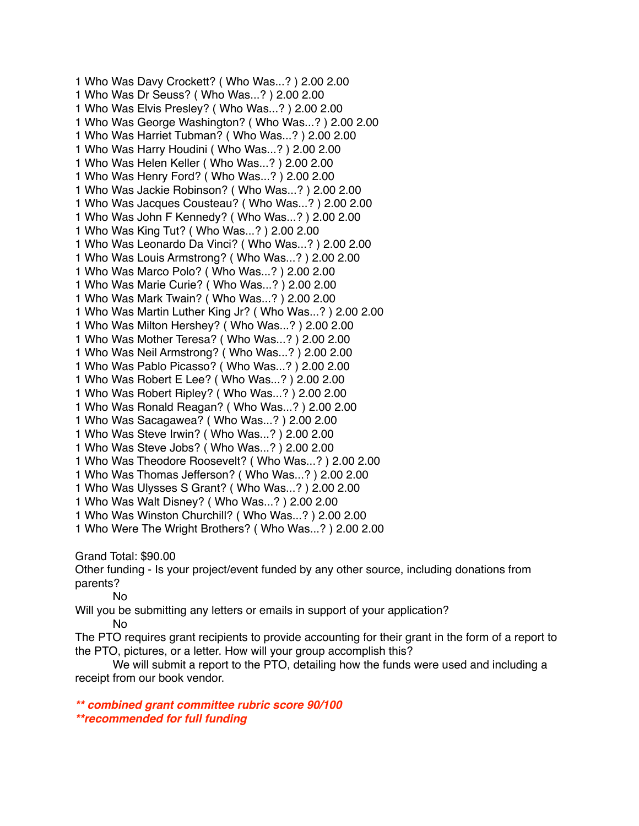1 Who Was Davy Crockett? ( Who Was...? ) 2.00 2.00 1 Who Was Dr Seuss? ( Who Was...? ) 2.00 2.00 1 Who Was Elvis Presley? ( Who Was...? ) 2.00 2.00 1 Who Was George Washington? ( Who Was...? ) 2.00 2.00 1 Who Was Harriet Tubman? ( Who Was...? ) 2.00 2.00 1 Who Was Harry Houdini ( Who Was...? ) 2.00 2.00 1 Who Was Helen Keller ( Who Was...? ) 2.00 2.00 1 Who Was Henry Ford? ( Who Was...? ) 2.00 2.00 1 Who Was Jackie Robinson? ( Who Was...? ) 2.00 2.00 1 Who Was Jacques Cousteau? ( Who Was...? ) 2.00 2.00 1 Who Was John F Kennedy? ( Who Was...? ) 2.00 2.00 1 Who Was King Tut? ( Who Was...? ) 2.00 2.00 1 Who Was Leonardo Da Vinci? ( Who Was...? ) 2.00 2.00 1 Who Was Louis Armstrong? ( Who Was...? ) 2.00 2.00 1 Who Was Marco Polo? ( Who Was...? ) 2.00 2.00 1 Who Was Marie Curie? ( Who Was...? ) 2.00 2.00 1 Who Was Mark Twain? ( Who Was...? ) 2.00 2.00 1 Who Was Martin Luther King Jr? ( Who Was...? ) 2.00 2.00 1 Who Was Milton Hershey? ( Who Was...? ) 2.00 2.00 1 Who Was Mother Teresa? ( Who Was...? ) 2.00 2.00 1 Who Was Neil Armstrong? ( Who Was...? ) 2.00 2.00 1 Who Was Pablo Picasso? ( Who Was...? ) 2.00 2.00 1 Who Was Robert E Lee? ( Who Was...? ) 2.00 2.00 1 Who Was Robert Ripley? ( Who Was...? ) 2.00 2.00 1 Who Was Ronald Reagan? ( Who Was...? ) 2.00 2.00 1 Who Was Sacagawea? ( Who Was...? ) 2.00 2.00 1 Who Was Steve Irwin? ( Who Was...? ) 2.00 2.00 1 Who Was Steve Jobs? ( Who Was...? ) 2.00 2.00 1 Who Was Theodore Roosevelt? ( Who Was...? ) 2.00 2.00 1 Who Was Thomas Jefferson? ( Who Was...? ) 2.00 2.00 1 Who Was Ulysses S Grant? ( Who Was...? ) 2.00 2.00 1 Who Was Walt Disney? ( Who Was...? ) 2.00 2.00 1 Who Was Winston Churchill? ( Who Was...? ) 2.00 2.00 1 Who Were The Wright Brothers? ( Who Was...? ) 2.00 2.00 Grand Total: \$90.00 Other funding - Is your project/event funded by any other source, including donations from parents?

No

Will you be submitting any letters or emails in support of your application?

No

The PTO requires grant recipients to provide accounting for their grant in the form of a report to the PTO, pictures, or a letter. How will your group accomplish this?

 We will submit a report to the PTO, detailing how the funds were used and including a receipt from our book vendor.

*\*\* combined grant committee rubric score 90/100 \*\*recommended for full funding*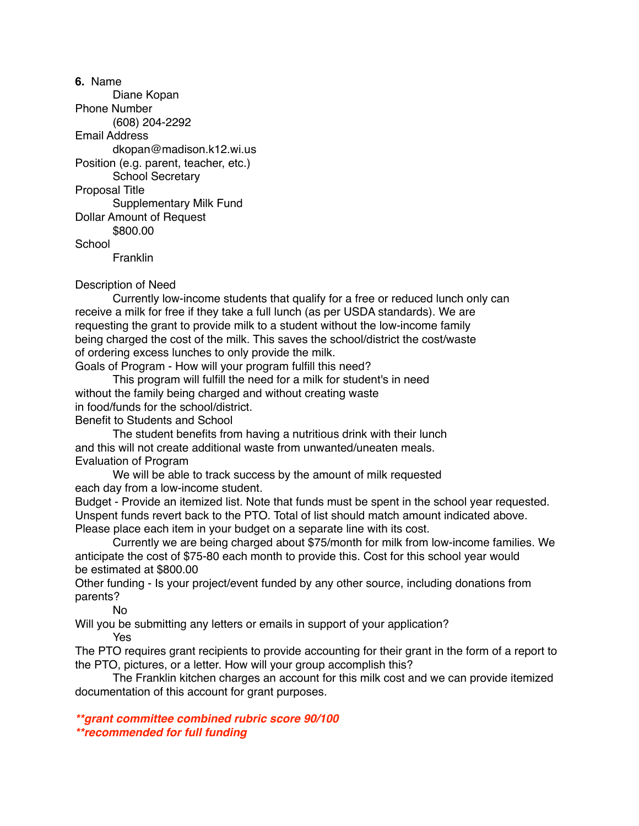**6.** Name Diane Kopan Phone Number (608) 204-2292 Email Address dkopan@madison.k12.wi.us Position (e.g. parent, teacher, etc.) School Secretary Proposal Title Supplementary Milk Fund Dollar Amount of Request \$800.00 **School Franklin** 

Description of Need

 Currently low-income students that qualify for a free or reduced lunch only can receive a milk for free if they take a full lunch (as per USDA standards). We are requesting the grant to provide milk to a student without the low-income family being charged the cost of the milk. This saves the school/district the cost/waste of ordering excess lunches to only provide the milk.

Goals of Program - How will your program fulfill this need?

 This program will fulfill the need for a milk for student's in need without the family being charged and without creating waste in food/funds for the school/district.

Benefit to Students and School

 The student benefits from having a nutritious drink with their lunch and this will not create additional waste from unwanted/uneaten meals. Evaluation of Program

 We will be able to track success by the amount of milk requested each day from a low-income student.

Budget - Provide an itemized list. Note that funds must be spent in the school year requested. Unspent funds revert back to the PTO. Total of list should match amount indicated above. Please place each item in your budget on a separate line with its cost.

 Currently we are being charged about \$75/month for milk from low-income families. We anticipate the cost of \$75-80 each month to provide this. Cost for this school year would be estimated at \$800.00

Other funding - Is your project/event funded by any other source, including donations from parents?

No

Will you be submitting any letters or emails in support of your application? Yes

The PTO requires grant recipients to provide accounting for their grant in the form of a report to the PTO, pictures, or a letter. How will your group accomplish this?

 The Franklin kitchen charges an account for this milk cost and we can provide itemized documentation of this account for grant purposes.

*\*\*grant committee combined rubric score 90/100 \*\*recommended for full funding*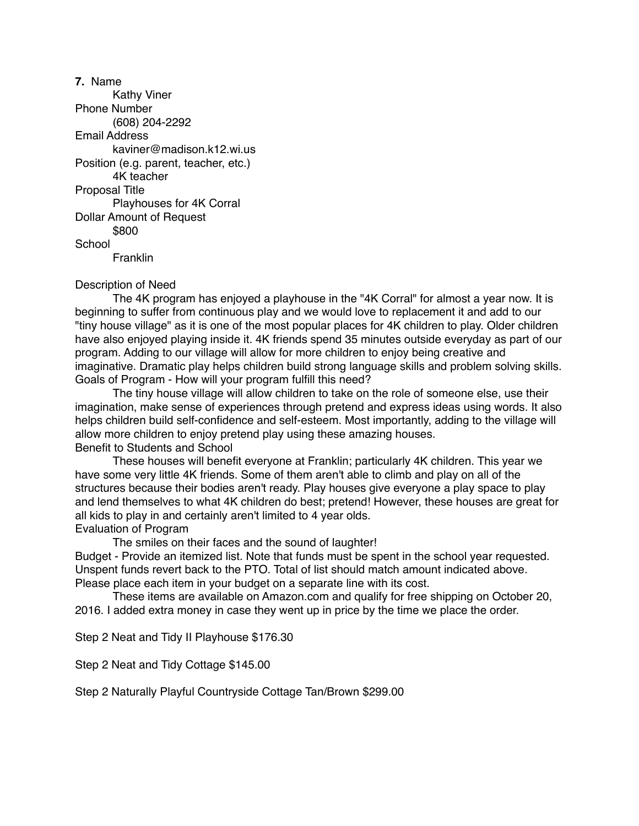**7.** Name Kathy Viner Phone Number (608) 204-2292 Email Address kaviner@madison.k12.wi.us Position (e.g. parent, teacher, etc.) 4K teacher Proposal Title Playhouses for 4K Corral Dollar Amount of Request \$800 **School** Franklin

#### Description of Need

 The 4K program has enjoyed a playhouse in the "4K Corral" for almost a year now. It is beginning to suffer from continuous play and we would love to replacement it and add to our "tiny house village" as it is one of the most popular places for 4K children to play. Older children have also enjoyed playing inside it. 4K friends spend 35 minutes outside everyday as part of our program. Adding to our village will allow for more children to enjoy being creative and imaginative. Dramatic play helps children build strong language skills and problem solving skills. Goals of Program - How will your program fulfill this need?

 The tiny house village will allow children to take on the role of someone else, use their imagination, make sense of experiences through pretend and express ideas using words. It also helps children build self-confidence and self-esteem. Most importantly, adding to the village will allow more children to enjoy pretend play using these amazing houses. Benefit to Students and School

 These houses will benefit everyone at Franklin; particularly 4K children. This year we have some very little 4K friends. Some of them aren't able to climb and play on all of the structures because their bodies aren't ready. Play houses give everyone a play space to play and lend themselves to what 4K children do best; pretend! However, these houses are great for all kids to play in and certainly aren't limited to 4 year olds. Evaluation of Program

The smiles on their faces and the sound of laughter!

Budget - Provide an itemized list. Note that funds must be spent in the school year requested. Unspent funds revert back to the PTO. Total of list should match amount indicated above. Please place each item in your budget on a separate line with its cost.

 These items are available on Amazon.com and qualify for free shipping on October 20, 2016. I added extra money in case they went up in price by the time we place the order.

Step 2 Neat and Tidy II Playhouse \$176.30

Step 2 Neat and Tidy Cottage \$145.00

Step 2 Naturally Playful Countryside Cottage Tan/Brown \$299.00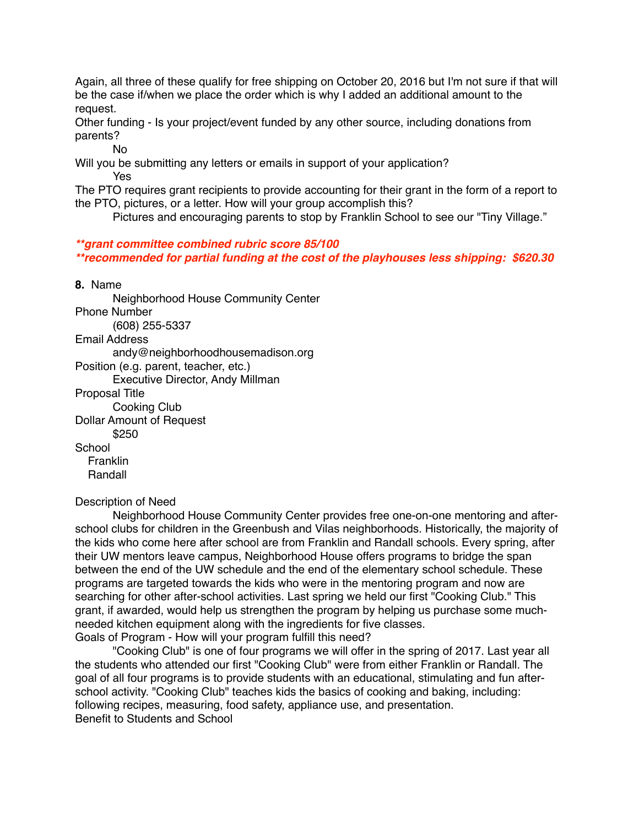Again, all three of these qualify for free shipping on October 20, 2016 but I'm not sure if that will be the case if/when we place the order which is why I added an additional amount to the request.

Other funding - Is your project/event funded by any other source, including donations from parents?

No

Will you be submitting any letters or emails in support of your application? Yes

The PTO requires grant recipients to provide accounting for their grant in the form of a report to the PTO, pictures, or a letter. How will your group accomplish this?

Pictures and encouraging parents to stop by Franklin School to see our "Tiny Village."

## *\*\*grant committee combined rubric score 85/100*

*\*\*recommended for partial funding at the cost of the playhouses less shipping: \$620.30* 

**8.** Name

 Neighborhood House Community Center Phone Number (608) 255-5337 Email Address andy@neighborhoodhousemadison.org Position (e.g. parent, teacher, etc.) Executive Director, Andy Millman Proposal Title Cooking Club Dollar Amount of Request \$250 **School Franklin** Randall

#### Description of Need

 Neighborhood House Community Center provides free one-on-one mentoring and afterschool clubs for children in the Greenbush and Vilas neighborhoods. Historically, the majority of the kids who come here after school are from Franklin and Randall schools. Every spring, after their UW mentors leave campus, Neighborhood House offers programs to bridge the span between the end of the UW schedule and the end of the elementary school schedule. These programs are targeted towards the kids who were in the mentoring program and now are searching for other after-school activities. Last spring we held our first "Cooking Club." This grant, if awarded, would help us strengthen the program by helping us purchase some muchneeded kitchen equipment along with the ingredients for five classes. Goals of Program - How will your program fulfill this need?

 "Cooking Club" is one of four programs we will offer in the spring of 2017. Last year all the students who attended our first "Cooking Club" were from either Franklin or Randall. The goal of all four programs is to provide students with an educational, stimulating and fun afterschool activity. "Cooking Club" teaches kids the basics of cooking and baking, including: following recipes, measuring, food safety, appliance use, and presentation. Benefit to Students and School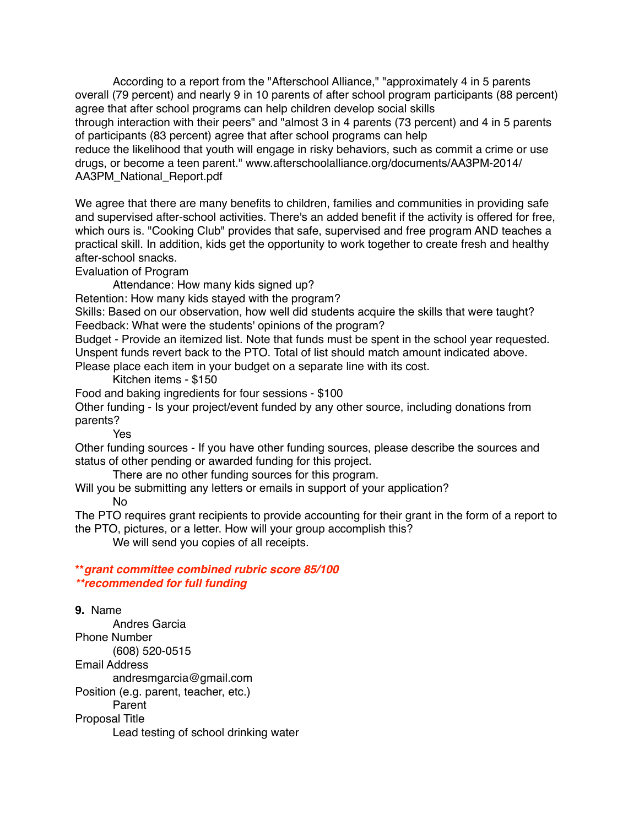According to a report from the "Afterschool Alliance," "approximately 4 in 5 parents overall (79 percent) and nearly 9 in 10 parents of after school program participants (88 percent) agree that after school programs can help children develop social skills

through interaction with their peers" and "almost 3 in 4 parents (73 percent) and 4 in 5 parents of participants (83 percent) agree that after school programs can help

reduce the likelihood that youth will engage in risky behaviors, such as commit a crime or use drugs, or become a teen parent." www.afterschoolalliance.org/documents/AA3PM-2014/ AA3PM\_National\_Report.pdf

We agree that there are many benefits to children, families and communities in providing safe and supervised after-school activities. There's an added benefit if the activity is offered for free, which ours is. "Cooking Club" provides that safe, supervised and free program AND teaches a practical skill. In addition, kids get the opportunity to work together to create fresh and healthy after-school snacks.

Evaluation of Program

Attendance: How many kids signed up?

Retention: How many kids stayed with the program?

Skills: Based on our observation, how well did students acquire the skills that were taught? Feedback: What were the students' opinions of the program?

Budget - Provide an itemized list. Note that funds must be spent in the school year requested. Unspent funds revert back to the PTO. Total of list should match amount indicated above.

Please place each item in your budget on a separate line with its cost.

Kitchen items - \$150

Food and baking ingredients for four sessions - \$100

Other funding - Is your project/event funded by any other source, including donations from parents?

Yes

Other funding sources - If you have other funding sources, please describe the sources and status of other pending or awarded funding for this project.

There are no other funding sources for this program.

Will you be submitting any letters or emails in support of your application?

No

The PTO requires grant recipients to provide accounting for their grant in the form of a report to the PTO, pictures, or a letter. How will your group accomplish this?

We will send you copies of all receipts.

**\*\****grant committee combined rubric score 85/100 \*\*recommended for full funding*

### **9.** Name

 Andres Garcia Phone Number (608) 520-0515 Email Address andresmgarcia@gmail.com Position (e.g. parent, teacher, etc.) Parent Proposal Title Lead testing of school drinking water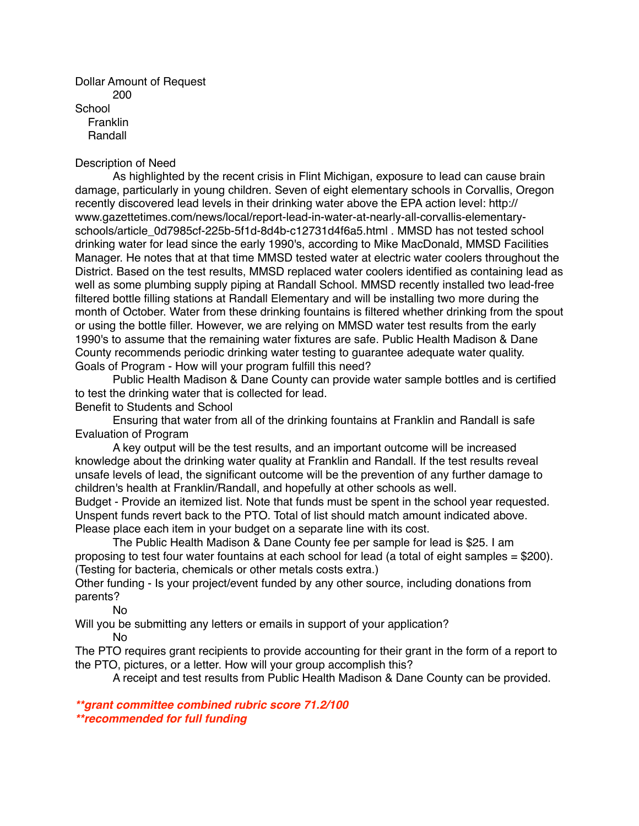Dollar Amount of Request 200 **School**  Franklin Randall

#### Description of Need

 As highlighted by the recent crisis in Flint Michigan, exposure to lead can cause brain damage, particularly in young children. Seven of eight elementary schools in Corvallis, Oregon recently discovered lead levels in their drinking water above the EPA action level: http:// www.gazettetimes.com/news/local/report-lead-in-water-at-nearly-all-corvallis-elementaryschools/article\_0d7985cf-225b-5f1d-8d4b-c12731d4f6a5.html . MMSD has not tested school drinking water for lead since the early 1990's, according to Mike MacDonald, MMSD Facilities Manager. He notes that at that time MMSD tested water at electric water coolers throughout the District. Based on the test results, MMSD replaced water coolers identified as containing lead as well as some plumbing supply piping at Randall School. MMSD recently installed two lead-free filtered bottle filling stations at Randall Elementary and will be installing two more during the month of October. Water from these drinking fountains is filtered whether drinking from the spout or using the bottle filler. However, we are relying on MMSD water test results from the early 1990's to assume that the remaining water fixtures are safe. Public Health Madison & Dane County recommends periodic drinking water testing to guarantee adequate water quality. Goals of Program - How will your program fulfill this need?

 Public Health Madison & Dane County can provide water sample bottles and is certified to test the drinking water that is collected for lead. Benefit to Students and School

 Ensuring that water from all of the drinking fountains at Franklin and Randall is safe Evaluation of Program

 A key output will be the test results, and an important outcome will be increased knowledge about the drinking water quality at Franklin and Randall. If the test results reveal unsafe levels of lead, the significant outcome will be the prevention of any further damage to children's health at Franklin/Randall, and hopefully at other schools as well.

Budget - Provide an itemized list. Note that funds must be spent in the school year requested. Unspent funds revert back to the PTO. Total of list should match amount indicated above. Please place each item in your budget on a separate line with its cost.

 The Public Health Madison & Dane County fee per sample for lead is \$25. I am proposing to test four water fountains at each school for lead (a total of eight samples = \$200). (Testing for bacteria, chemicals or other metals costs extra.)

Other funding - Is your project/event funded by any other source, including donations from parents?

No

Will you be submitting any letters or emails in support of your application? No

The PTO requires grant recipients to provide accounting for their grant in the form of a report to the PTO, pictures, or a letter. How will your group accomplish this?

A receipt and test results from Public Health Madison & Dane County can be provided.

*\*\*grant committee combined rubric score 71.2/100 \*\*recommended for full funding*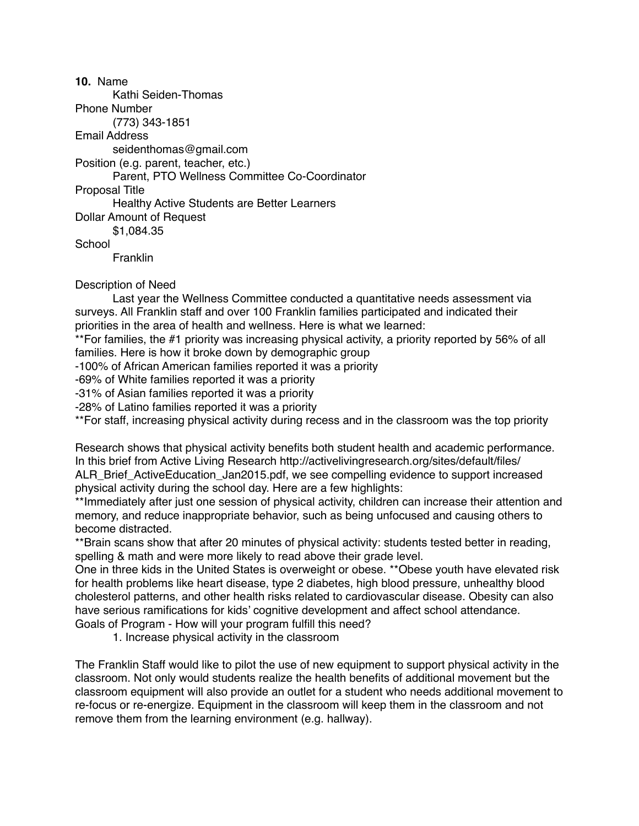**10.** Name Kathi Seiden-Thomas Phone Number (773) 343-1851 Email Address seidenthomas@gmail.com Position (e.g. parent, teacher, etc.) Parent, PTO Wellness Committee Co-Coordinator Proposal Title Healthy Active Students are Better Learners Dollar Amount of Request \$1,084.35 **School** 

Franklin

### Description of Need

 Last year the Wellness Committee conducted a quantitative needs assessment via surveys. All Franklin staff and over 100 Franklin families participated and indicated their priorities in the area of health and wellness. Here is what we learned:

\*\*For families, the #1 priority was increasing physical activity, a priority reported by 56% of all families. Here is how it broke down by demographic group

-100% of African American families reported it was a priority

-69% of White families reported it was a priority

-31% of Asian families reported it was a priority

-28% of Latino families reported it was a priority

\*\*For staff, increasing physical activity during recess and in the classroom was the top priority

Research shows that physical activity benefits both student health and academic performance. In this brief from Active Living Research http://activelivingresearch.org/sites/default/files/ ALR Brief ActiveEducation Jan2015.pdf, we see compelling evidence to support increased physical activity during the school day. Here are a few highlights:

\*\*Immediately after just one session of physical activity, children can increase their attention and memory, and reduce inappropriate behavior, such as being unfocused and causing others to become distracted.

\*\*Brain scans show that after 20 minutes of physical activity: students tested better in reading, spelling & math and were more likely to read above their grade level.

One in three kids in the United States is overweight or obese. \*\*Obese youth have elevated risk for health problems like heart disease, type 2 diabetes, high blood pressure, unhealthy blood cholesterol patterns, and other health risks related to cardiovascular disease. Obesity can also have serious ramifications for kids' cognitive development and affect school attendance.

Goals of Program - How will your program fulfill this need?

1. Increase physical activity in the classroom

The Franklin Staff would like to pilot the use of new equipment to support physical activity in the classroom. Not only would students realize the health benefits of additional movement but the classroom equipment will also provide an outlet for a student who needs additional movement to re-focus or re-energize. Equipment in the classroom will keep them in the classroom and not remove them from the learning environment (e.g. hallway).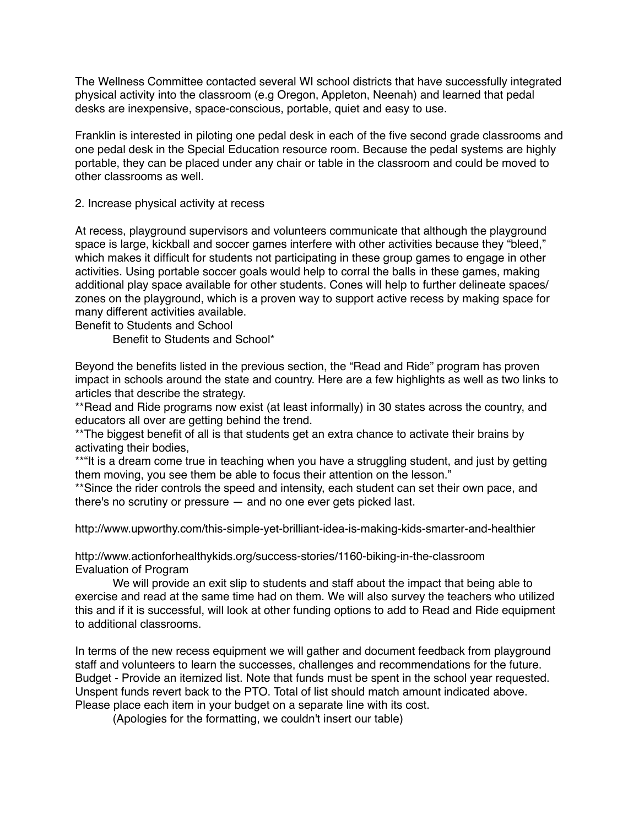The Wellness Committee contacted several WI school districts that have successfully integrated physical activity into the classroom (e.g Oregon, Appleton, Neenah) and learned that pedal desks are inexpensive, space-conscious, portable, quiet and easy to use.

Franklin is interested in piloting one pedal desk in each of the five second grade classrooms and one pedal desk in the Special Education resource room. Because the pedal systems are highly portable, they can be placed under any chair or table in the classroom and could be moved to other classrooms as well.

2. Increase physical activity at recess

At recess, playground supervisors and volunteers communicate that although the playground space is large, kickball and soccer games interfere with other activities because they "bleed," which makes it difficult for students not participating in these group games to engage in other activities. Using portable soccer goals would help to corral the balls in these games, making additional play space available for other students. Cones will help to further delineate spaces/ zones on the playground, which is a proven way to support active recess by making space for many different activities available.

Benefit to Students and School

Benefit to Students and School\*

Beyond the benefits listed in the previous section, the "Read and Ride" program has proven impact in schools around the state and country. Here are a few highlights as well as two links to articles that describe the strategy.

\*\*Read and Ride programs now exist (at least informally) in 30 states across the country, and educators all over are getting behind the trend.

\*\*The biggest benefit of all is that students get an extra chance to activate their brains by activating their bodies,

\*\*"It is a dream come true in teaching when you have a struggling student, and just by getting them moving, you see them be able to focus their attention on the lesson."

\*\*Since the rider controls the speed and intensity, each student can set their own pace, and there's no scrutiny or pressure — and no one ever gets picked last.

http://www.upworthy.com/this-simple-yet-brilliant-idea-is-making-kids-smarter-and-healthier

http://www.actionforhealthykids.org/success-stories/1160-biking-in-the-classroom Evaluation of Program

 We will provide an exit slip to students and staff about the impact that being able to exercise and read at the same time had on them. We will also survey the teachers who utilized this and if it is successful, will look at other funding options to add to Read and Ride equipment to additional classrooms.

In terms of the new recess equipment we will gather and document feedback from playground staff and volunteers to learn the successes, challenges and recommendations for the future. Budget - Provide an itemized list. Note that funds must be spent in the school year requested. Unspent funds revert back to the PTO. Total of list should match amount indicated above. Please place each item in your budget on a separate line with its cost.

(Apologies for the formatting, we couldn't insert our table)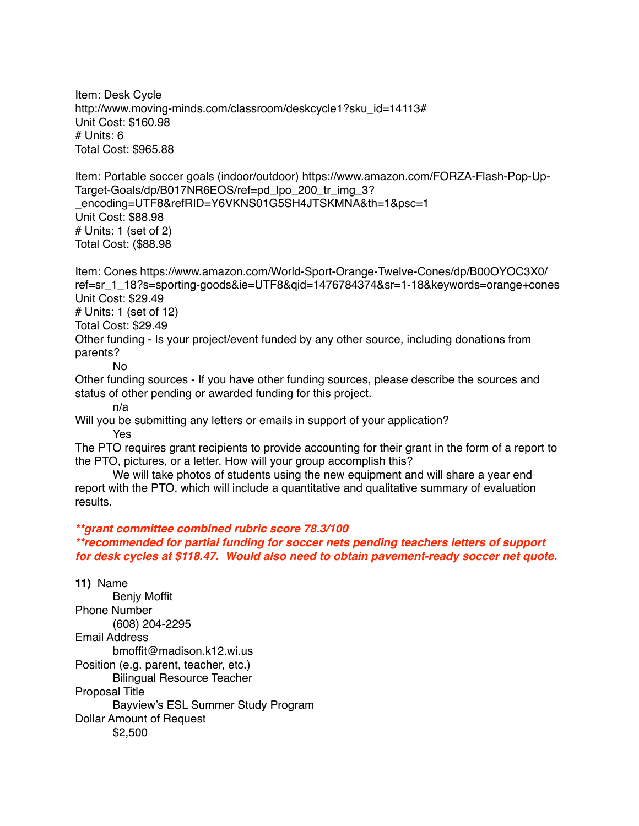Item: Desk Cycle http://www.moving-minds.com/classroom/deskcycle1?sku\_id=14113# Unit Cost: \$160.98 # Units: 6 Total Cost: \$965.88 Item: Portable soccer goals (indoor/outdoor) https://www.amazon.com/FORZA-Flash-Pop-Up-Target-Goals/dp/B017NR6EOS/ref=pd lpo\_200\_tr\_img\_3? \_encoding=UTF8&refRID=Y6VKNS01G5SH4JTSKMNA&th=1&psc=1 Unit Cost: \$88.98 # Units: 1 (set of 2) Total Cost: (\$88.98 Item: Cones https://www.amazon.com/World-Sport-Orange-Twelve-Cones/dp/B00OYOC3X0/ ref=sr\_1\_18?s=sporting-goods&ie=UTF8&qid=1476784374&sr=1-18&keywords=orange+cones Unit Cost: \$29.49 # Units: 1 (set of 12) Total Cost: \$29.49 Other funding - Is your project/event funded by any other source, including donations from parents? No Other funding sources - If you have other funding sources, please describe the sources and status of other pending or awarded funding for this project. n/a Will you be submitting any letters or emails in support of your application? Yes The PTO requires grant recipients to provide accounting for their grant in the form of a report to the PTO, pictures, or a letter. How will your group accomplish this? We will take photos of students using the new equipment and will share a year end report with the PTO, which will include a quantitative and qualitative summary of evaluation results. *\*\*grant committee combined rubric score 78.3/100 \*\*recommended for partial funding for soccer nets pending teachers letters of support* 

*for desk cycles at \$118.47. Would also need to obtain pavement-ready soccer net quote.* 

**11)** Name Benjy Moffit Phone Number (608) 204-2295 Email Address bmoffit@madison.k12.wi.us Position (e.g. parent, teacher, etc.) Bilingual Resource Teacher Proposal Title Bayview's ESL Summer Study Program Dollar Amount of Request \$2,500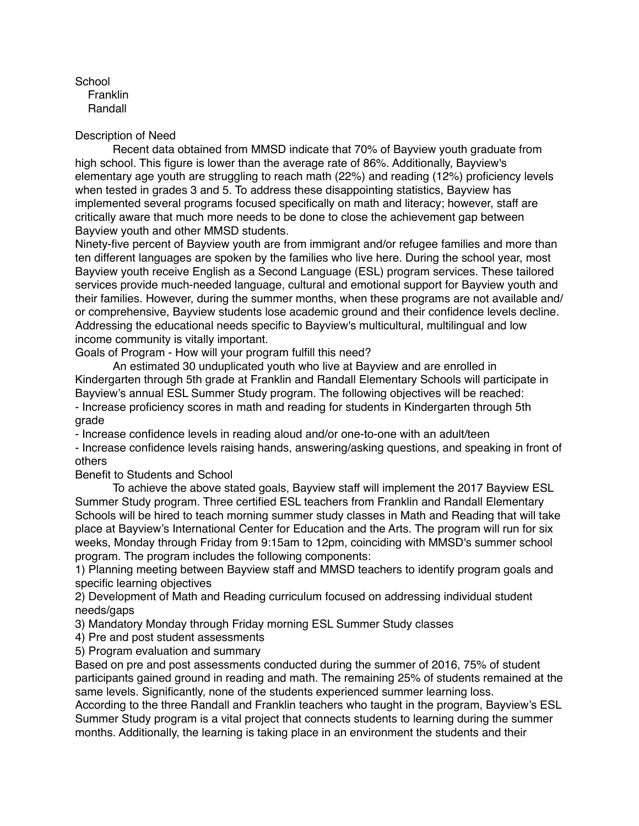**School Franklin** Randall

#### Description of Need

 Recent data obtained from MMSD indicate that 70% of Bayview youth graduate from high school. This figure is lower than the average rate of 86%. Additionally, Bayview's elementary age youth are struggling to reach math (22%) and reading (12%) proficiency levels when tested in grades 3 and 5. To address these disappointing statistics, Bayview has implemented several programs focused specifically on math and literacy; however, staff are critically aware that much more needs to be done to close the achievement gap between Bayview youth and other MMSD students.

Ninety-five percent of Bayview youth are from immigrant and/or refugee families and more than ten different languages are spoken by the families who live here. During the school year, most Bayview youth receive English as a Second Language (ESL) program services. These tailored services provide much-needed language, cultural and emotional support for Bayview youth and their families. However, during the summer months, when these programs are not available and/ or comprehensive, Bayview students lose academic ground and their confidence levels decline. Addressing the educational needs specific to Bayview's multicultural, multilingual and low income community is vitally important.

Goals of Program - How will your program fulfill this need?

 An estimated 30 unduplicated youth who live at Bayview and are enrolled in Kindergarten through 5th grade at Franklin and Randall Elementary Schools will participate in Bayview's annual ESL Summer Study program. The following objectives will be reached: - Increase proficiency scores in math and reading for students in Kindergarten through 5th grade

- Increase confidence levels in reading aloud and/or one-to-one with an adult/teen

- Increase confidence levels raising hands, answering/asking questions, and speaking in front of others

Benefit to Students and School

 To achieve the above stated goals, Bayview staff will implement the 2017 Bayview ESL Summer Study program. Three certified ESL teachers from Franklin and Randall Elementary Schools will be hired to teach morning summer study classes in Math and Reading that will take place at Bayview's International Center for Education and the Arts. The program will run for six weeks, Monday through Friday from 9:15am to 12pm, coinciding with MMSD's summer school program. The program includes the following components:

1) Planning meeting between Bayview staff and MMSD teachers to identify program goals and specific learning objectives

2) Development of Math and Reading curriculum focused on addressing individual student needs/gaps

3) Mandatory Monday through Friday morning ESL Summer Study classes

4) Pre and post student assessments

5) Program evaluation and summary

Based on pre and post assessments conducted during the summer of 2016, 75% of student participants gained ground in reading and math. The remaining 25% of students remained at the same levels. Significantly, none of the students experienced summer learning loss.

According to the three Randall and Franklin teachers who taught in the program, Bayview's ESL Summer Study program is a vital project that connects students to learning during the summer months. Additionally, the learning is taking place in an environment the students and their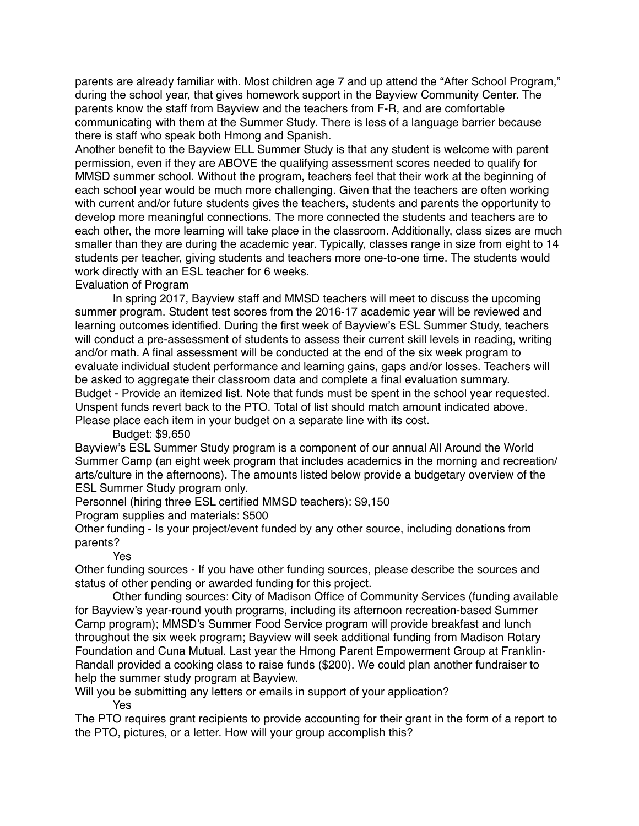parents are already familiar with. Most children age 7 and up attend the "After School Program," during the school year, that gives homework support in the Bayview Community Center. The parents know the staff from Bayview and the teachers from F-R, and are comfortable communicating with them at the Summer Study. There is less of a language barrier because there is staff who speak both Hmong and Spanish.

Another benefit to the Bayview ELL Summer Study is that any student is welcome with parent permission, even if they are ABOVE the qualifying assessment scores needed to qualify for MMSD summer school. Without the program, teachers feel that their work at the beginning of each school year would be much more challenging. Given that the teachers are often working with current and/or future students gives the teachers, students and parents the opportunity to develop more meaningful connections. The more connected the students and teachers are to each other, the more learning will take place in the classroom. Additionally, class sizes are much smaller than they are during the academic year. Typically, classes range in size from eight to 14 students per teacher, giving students and teachers more one-to-one time. The students would work directly with an ESL teacher for 6 weeks.

## Evaluation of Program

 In spring 2017, Bayview staff and MMSD teachers will meet to discuss the upcoming summer program. Student test scores from the 2016-17 academic year will be reviewed and learning outcomes identified. During the first week of Bayview's ESL Summer Study, teachers will conduct a pre-assessment of students to assess their current skill levels in reading, writing and/or math. A final assessment will be conducted at the end of the six week program to evaluate individual student performance and learning gains, gaps and/or losses. Teachers will be asked to aggregate their classroom data and complete a final evaluation summary. Budget - Provide an itemized list. Note that funds must be spent in the school year requested. Unspent funds revert back to the PTO. Total of list should match amount indicated above. Please place each item in your budget on a separate line with its cost.

Budget: \$9,650

Bayview's ESL Summer Study program is a component of our annual All Around the World Summer Camp (an eight week program that includes academics in the morning and recreation/ arts/culture in the afternoons). The amounts listed below provide a budgetary overview of the ESL Summer Study program only.

Personnel (hiring three ESL certified MMSD teachers): \$9,150

Program supplies and materials: \$500

Other funding - Is your project/event funded by any other source, including donations from parents?

## Yes

Other funding sources - If you have other funding sources, please describe the sources and status of other pending or awarded funding for this project.

 Other funding sources: City of Madison Office of Community Services (funding available for Bayview's year-round youth programs, including its afternoon recreation-based Summer Camp program); MMSD's Summer Food Service program will provide breakfast and lunch throughout the six week program; Bayview will seek additional funding from Madison Rotary Foundation and Cuna Mutual. Last year the Hmong Parent Empowerment Group at Franklin-Randall provided a cooking class to raise funds (\$200). We could plan another fundraiser to help the summer study program at Bayview.

Will you be submitting any letters or emails in support of your application? Yes

The PTO requires grant recipients to provide accounting for their grant in the form of a report to the PTO, pictures, or a letter. How will your group accomplish this?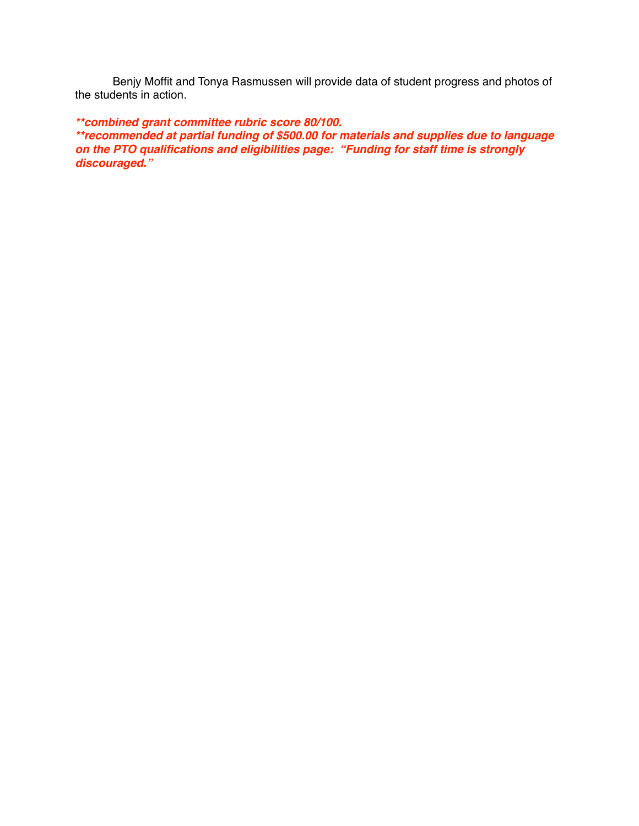Benjy Moffit and Tonya Rasmussen will provide data of student progress and photos of the students in action.

*\*\*combined grant committee rubric score 80/100. \*\*recommended at partial funding of \$500.00 for materials and supplies due to language on the PTO qualifications and eligibilities page: "Funding for staff time is strongly discouraged."*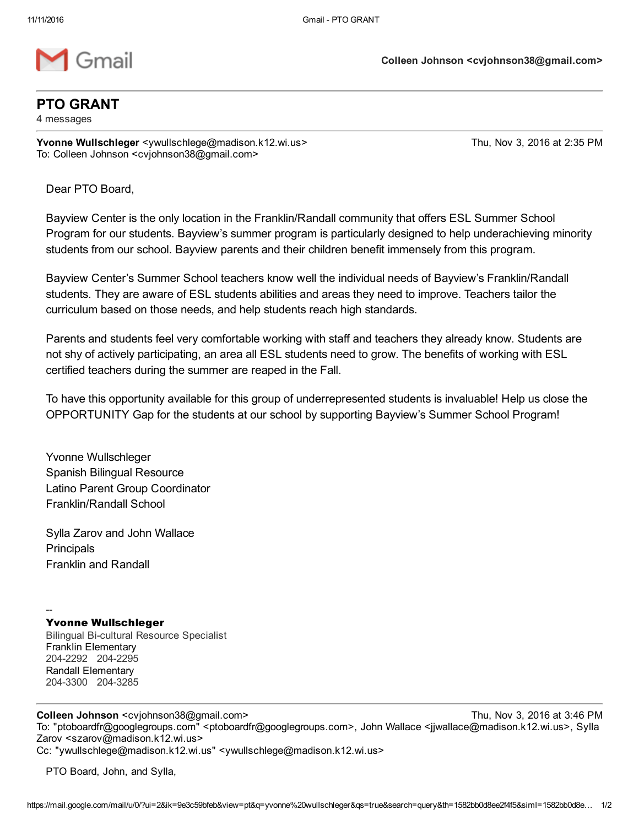

#### PTO GRANT

4 messages

Yvonne Wullschleger <ywullschlege@madison.k12.wi.us> Thu, Nov 3, 2016 at 2:35 PM To: Colleen Johnson <cvjohnson38@gmail.com>

Dear PTO Board,

Bayview Center is the only location in the Franklin/Randall community that offers ESL Summer School Program for our students. Bayview's summer program is particularly designed to help underachieving minority students from our school. Bayview parents and their children benefit immensely from this program.

Bayview Center's Summer School teachers know well the individual needs of Bayview's Franklin/Randall students. They are aware of ESL students abilities and areas they need to improve. Teachers tailor the curriculum based on those needs, and help students reach high standards.

Parents and students feel very comfortable working with staff and teachers they already know. Students are not shy of actively participating, an area all ESL students need to grow. The benefits of working with ESL certified teachers during the summer are reaped in the Fall.

To have this opportunity available for this group of underrepresented students is invaluable! Help us close the OPPORTUNITY Gap for the students at our school by supporting Bayview's Summer School Program!

Yvonne Wullschleger Spanish Bilingual Resource Latino Parent Group Coordinator Franklin/Randall School

Sylla Zarov and John Wallace **Principals** Franklin and Randall

#### Yvonne Wullschleger

--

Bilingual Bicultural Resource Specialist Franklin Elementary 204-2292 204-2295 Randall Elementary 2043300 2043285

Colleen Johnson <cvjohnson38@gmail.com> Thu, Nov 3, 2016 at 3:46 PM

To: "ptoboardfr@googlegroups.com" <ptoboardfr@googlegroups.com>, John Wallace <jjwallace@madison.k12.wi.us>, Sylla Zarov <szarov@madison.k12.wi.us> Cc: "ywullschlege@madison.k12.wi.us" <ywullschlege@madison.k12.wi.us>

PTO Board, John, and Sylla,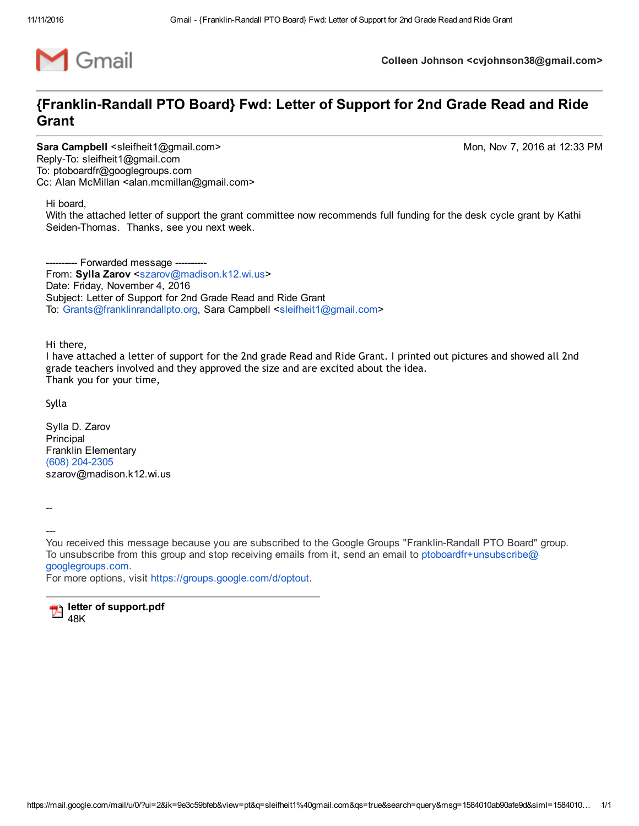

Colleen Johnson <cvjohnson38@gmail.com>

## {Franklin-Randall PTO Board} Fwd: Letter of Support for 2nd Grade Read and Ride Grant

Sara Campbell <sleifheit1@gmail.com> Mon, Nov 7, 2016 at 12:33 PM Reply-To: sleifheit1@gmail.com To: ptoboardfr@googlegroups.com Cc: Alan McMillan <alan.mcmillan@gmail.com>

Hi board,

With the attached letter of support the grant committee now recommends full funding for the desk cycle grant by Kathi Seiden-Thomas. Thanks, see you next week.

- Forwarded message -From: Sylla Zarov <[szarov@madison.k12.wi.us](mailto:szarov@madison.k12.wi.us)> Date: Friday, November 4, 2016 Subject: Letter of Support for 2nd Grade Read and Ride Grant To: [Grants@franklinrandallpto.org,](mailto:Grants@franklinrandallpto.org) Sara Campbell <[sleifheit1@gmail.com](mailto:sleifheit1@gmail.com)>

Hi there,

I have attached a letter of support for the 2nd grade Read and Ride Grant. I printed out pictures and showed all 2nd grade teachers involved and they approved the size and are excited about the idea. Thank you for your time,

Sylla

Sylla D. Zarov Principal Franklin Elementary (608) 204-2305 szarov@madison.k12.wi.us

-----

You received this message because you are subscribed to the Google Groups "Franklin-Randall PTO Board" group. To unsubscribe from this group and stop receiving emails from it, send an email to [ptoboardfr+unsubscribe@](mailto:ptoboardfr+unsubscribe@googlegroups.com) googlegroups.com.

For more options, visit <https://groups.google.com/d/optout>.

letter of support.pdf 48K